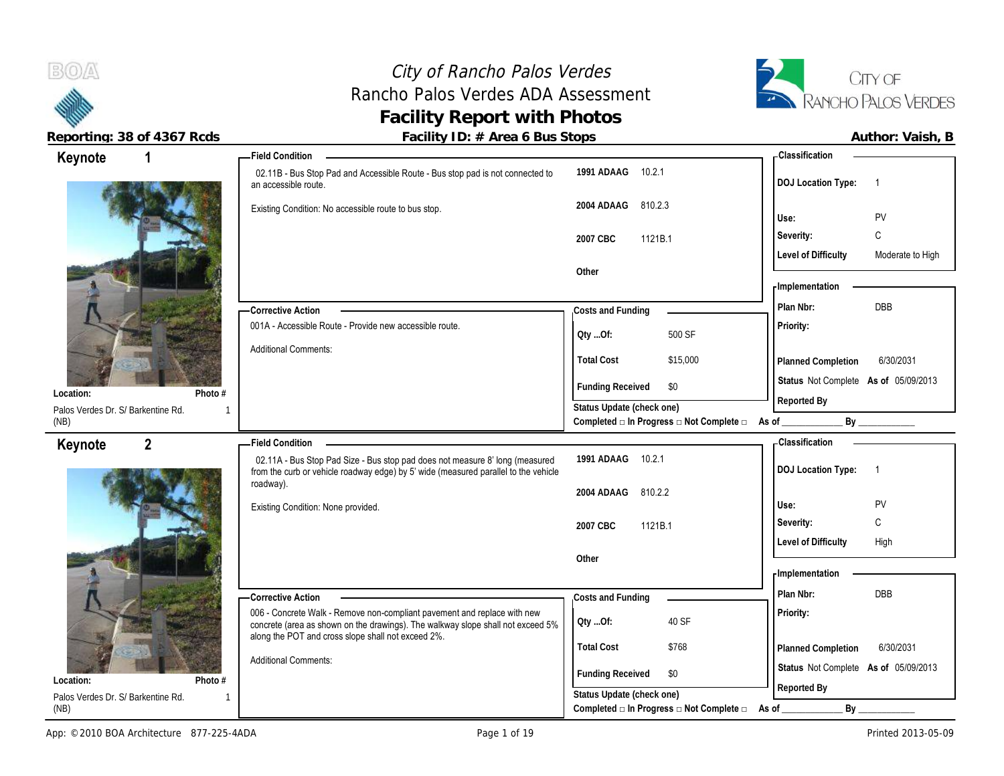**BOA** 

## City of Rancho Palos Verdes Rancho Palos Verdes ADA Assessment **Facility Report with Photos**



| Keynote                                    | -Field Condition                                                                                                                                                                                                  |                                                                             | -Classification                                      |
|--------------------------------------------|-------------------------------------------------------------------------------------------------------------------------------------------------------------------------------------------------------------------|-----------------------------------------------------------------------------|------------------------------------------------------|
|                                            | 02.11B - Bus Stop Pad and Accessible Route - Bus stop pad is not connected to<br>an accessible route.                                                                                                             | 1991 ADAAG 10.2.1                                                           | <b>DOJ Location Type:</b>                            |
|                                            | Existing Condition: No accessible route to bus stop.                                                                                                                                                              | 2004 ADAAG 810.2.3                                                          | PV<br>Use:                                           |
|                                            |                                                                                                                                                                                                                   | 1121B.1<br>2007 CBC                                                         | $\mathsf{C}$<br>Severity:                            |
|                                            |                                                                                                                                                                                                                   | Other                                                                       | <b>Level of Difficulty</b><br>Moderate to High       |
|                                            | -Corrective Action                                                                                                                                                                                                | Costs and Funding                                                           | - Implementation<br><b>DBB</b><br>Plan Nbr:          |
|                                            | 001A - Accessible Route - Provide new accessible route.                                                                                                                                                           | 500 SF<br>Oty Of:                                                           | Priority:                                            |
|                                            | <b>Additional Comments:</b>                                                                                                                                                                                       | <b>Total Cost</b><br>\$15,000                                               | 6/30/2031<br>Planned Completion                      |
| Location:<br>Photo #                       |                                                                                                                                                                                                                   | <b>Funding Received</b><br>\$0                                              | Status Not Complete As of 05/09/2013<br>Reported By  |
| Palos Verdes Dr. S/ Barkentine Rd.<br>(NB) |                                                                                                                                                                                                                   | Status Update (check one)<br>Completed □ In Progress □ Not Complete □ As of | By                                                   |
| $\mathbf{2}$<br>Keynote                    | -Field Condition                                                                                                                                                                                                  |                                                                             | Classification                                       |
|                                            | 02.11A - Bus Stop Pad Size - Bus stop pad does not measure 8' long (measured<br>from the curb or vehicle roadway edge) by 5' wide (measured parallel to the vehicle<br>roadway).                                  | 1991 ADAAG 10.2.1                                                           | <b>DOJ Location Type:</b><br>$\overline{\mathbf{1}}$ |
|                                            | Existing Condition: None provided.                                                                                                                                                                                | 2004 ADAAG 810.2.2                                                          | Use:<br><b>PV</b>                                    |
|                                            |                                                                                                                                                                                                                   | 2007 CBC<br>1121B.1                                                         | Severity:<br>C                                       |
|                                            |                                                                                                                                                                                                                   | Other                                                                       | <b>Level of Difficulty</b><br>High                   |
|                                            |                                                                                                                                                                                                                   |                                                                             | <b>Implementation</b>                                |
|                                            | -Corrective Action                                                                                                                                                                                                | Costs and Funding                                                           | DBB<br>Plan Nbr:                                     |
|                                            | 006 - Concrete Walk - Remove non-compliant pavement and replace with new<br>concrete (area as shown on the drawings). The walkway slope shall not exceed 5%<br>along the POT and cross slope shall not exceed 2%. | 40 SF<br>Oty Of:                                                            | Priority:                                            |
|                                            | <b>Additional Comments:</b>                                                                                                                                                                                       | <b>Total Cost</b><br>\$768                                                  | 6/30/2031<br>Planned Completion                      |
| Location:<br>Photo #                       |                                                                                                                                                                                                                   | <b>Funding Received</b><br>\$0                                              | Status Not Complete As of 05/09/2013<br>Reported By  |
| Palos Verdes Dr. S/ Barkentine Rd.<br>(NB) |                                                                                                                                                                                                                   | Status Update (check one)<br>Completed □ In Progress □ Not Complete □       | As of<br>$By_$                                       |
|                                            |                                                                                                                                                                                                                   |                                                                             |                                                      |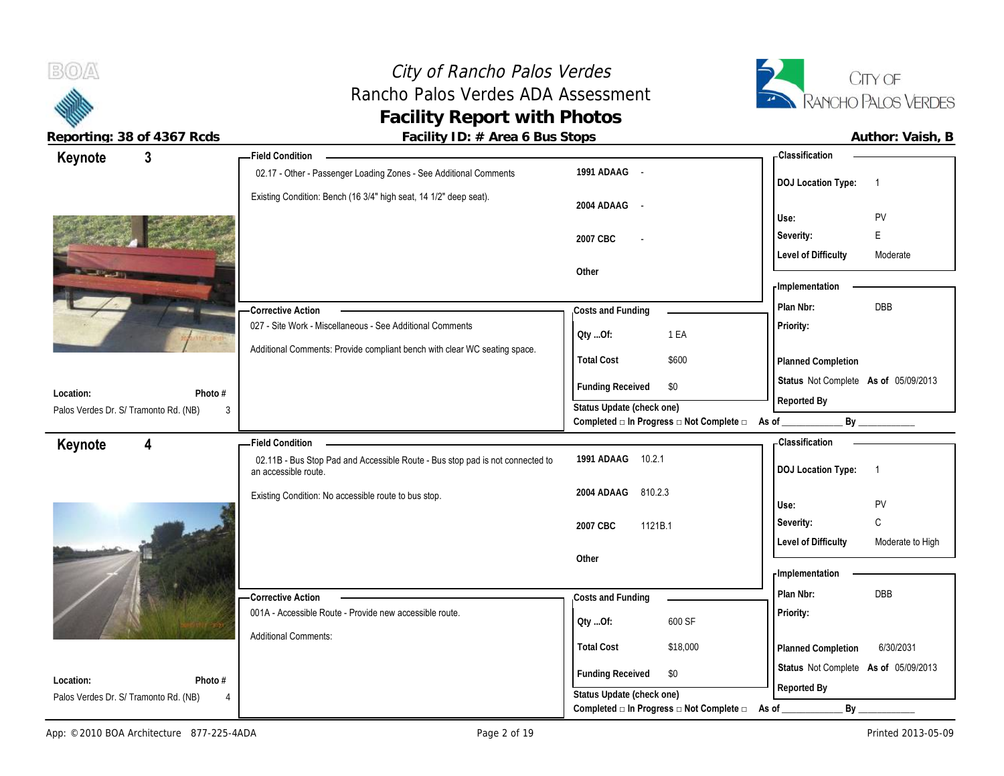

 $B(0)$ 

**Reporting: 38 of 4367 Rcds Facility ID: # Area 6 Bus Stops Author: Vaish, B**

| $\mathbf{3}$<br>Keynote                            |              | - Field Condition                                                                                     |                                                                                      |                                          | <b>Classification</b>                                      |                  |
|----------------------------------------------------|--------------|-------------------------------------------------------------------------------------------------------|--------------------------------------------------------------------------------------|------------------------------------------|------------------------------------------------------------|------------------|
|                                                    |              | 02.17 - Other - Passenger Loading Zones - See Additional Comments                                     | 1991 ADAAG -                                                                         |                                          | <b>DOJ</b> Location Type:                                  | $\overline{1}$   |
|                                                    |              | Existing Condition: Bench (16 3/4" high seat, 14 1/2" deep seat).                                     | 2004 ADAAG<br>$\sim$                                                                 |                                          | Use:                                                       | PV               |
|                                                    |              |                                                                                                       |                                                                                      |                                          | Severity:                                                  | E.               |
|                                                    |              |                                                                                                       | 2007 CBC                                                                             |                                          | <b>Level of Difficulty</b>                                 | Moderate         |
|                                                    |              |                                                                                                       | Other                                                                                |                                          |                                                            |                  |
|                                                    |              |                                                                                                       |                                                                                      |                                          | <b>Implementation</b>                                      |                  |
|                                                    |              | <b>Corrective Action</b>                                                                              | Costs and Funding                                                                    |                                          | Plan Nbr:                                                  | DBB              |
|                                                    |              | 027 - Site Work - Miscellaneous - See Additional Comments                                             | Oty Of:                                                                              | 1 EA                                     | Priority:                                                  |                  |
|                                                    |              | Additional Comments: Provide compliant bench with clear WC seating space.                             | <b>Total Cost</b>                                                                    | \$600                                    | Planned Completion                                         |                  |
| Location:                                          | Photo #      |                                                                                                       | <b>Funding Received</b>                                                              | \$0                                      | Status Not Complete As of 05/09/2013<br>Reported By        |                  |
| Palos Verdes Dr. S/ Tramonto Rd. (NB)              | 3            |                                                                                                       | Status Update (check one)                                                            | Completed □ In Progress □ Not Complete □ | As of _                                                    | By               |
|                                                    |              | - Field Condition                                                                                     |                                                                                      |                                          | <b>Classification</b>                                      |                  |
| Keynote<br>4                                       |              | 02.11B - Bus Stop Pad and Accessible Route - Bus stop pad is not connected to<br>an accessible route. | 1991 ADAAG 10.2.1                                                                    |                                          | <b>DOJ Location Type:</b>                                  | $\overline{1}$   |
|                                                    |              | Existing Condition: No accessible route to bus stop.                                                  | 2004 ADAAG<br>810.2.3                                                                |                                          | Use:                                                       | PV               |
|                                                    |              |                                                                                                       | 1121B.1<br>2007 CBC                                                                  |                                          | Severity:                                                  | C                |
|                                                    |              |                                                                                                       |                                                                                      |                                          | <b>Level of Difficulty</b>                                 | Moderate to High |
|                                                    |              |                                                                                                       | Other                                                                                |                                          |                                                            |                  |
|                                                    |              |                                                                                                       |                                                                                      |                                          | - Implementation                                           |                  |
|                                                    |              |                                                                                                       |                                                                                      |                                          |                                                            |                  |
|                                                    |              | - Corrective Action                                                                                   | Costs and Funding                                                                    |                                          | Plan Nbr:                                                  | <b>DBB</b>       |
|                                                    |              | 001A - Accessible Route - Provide new accessible route.                                               | Qty Of:                                                                              | 600 SF                                   | Priority:                                                  |                  |
|                                                    |              | <b>Additional Comments:</b>                                                                           |                                                                                      |                                          |                                                            |                  |
|                                                    |              |                                                                                                       | <b>Total Cost</b><br><b>Funding Received</b>                                         | \$18,000<br>\$0                          | Planned Completion<br>Status Not Complete As of 05/09/2013 | 6/30/2031        |
| Location:<br>Palos Verdes Dr. S/ Tramonto Rd. (NB) | Photo #<br>4 |                                                                                                       | Status Update (check one)<br>Completed $\Box$ In Progress $\Box$ Not Complete $\Box$ |                                          | Reported By<br>By                                          |                  |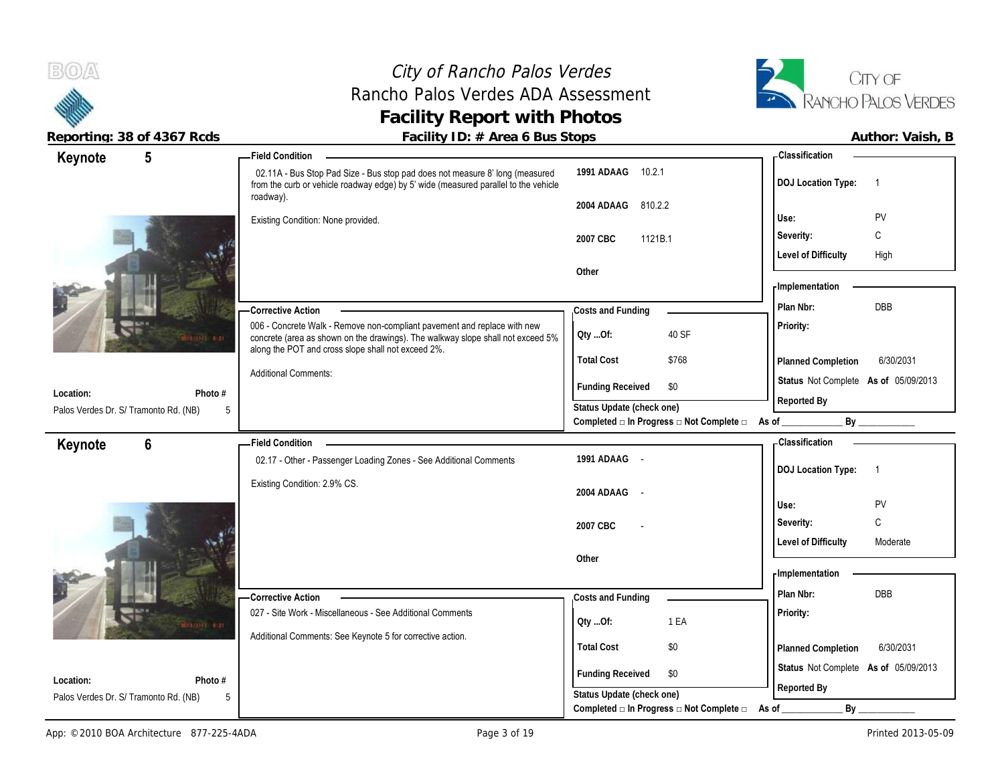### City of Rancho Palos Verdes Rancho Palos Verdes ADA Assessment **Facility Report with Photos**



|                                       | Reporting: 38 of 4367 Rcds | Facility ID: # Area 6 Bus Stops                                                                                                                                                  |                           |                                                         |                                      | Author: Vaish, B |
|---------------------------------------|----------------------------|----------------------------------------------------------------------------------------------------------------------------------------------------------------------------------|---------------------------|---------------------------------------------------------|--------------------------------------|------------------|
| Keynote                               | 5                          | - Field Condition                                                                                                                                                                |                           |                                                         | - Classification                     |                  |
|                                       |                            | 02.11A - Bus Stop Pad Size - Bus stop pad does not measure 8' long (measured<br>from the curb or vehicle roadway edge) by 5' wide (measured parallel to the vehicle<br>roadway). | 1991 ADAAG 10.2.1         |                                                         | <b>DOJ Location Type:</b>            | $\overline{1}$   |
|                                       |                            | Existing Condition: None provided.                                                                                                                                               | 2004 ADAAG                | 810.2.2                                                 | Use:                                 | PV               |
|                                       |                            |                                                                                                                                                                                  | 2007 CBC                  | 1121B.1                                                 | Severity:                            | C                |
|                                       |                            |                                                                                                                                                                                  |                           |                                                         | <b>Level of Difficulty</b>           | High             |
|                                       |                            |                                                                                                                                                                                  | Other                     |                                                         | <b>Implementation</b>                |                  |
|                                       |                            | -Corrective Action                                                                                                                                                               | Costs and Funding         |                                                         | Plan Nbr:                            | <b>DBB</b>       |
|                                       | 0.0331 8.21                | 006 - Concrete Walk - Remove non-compliant pavement and replace with new<br>concrete (area as shown on the drawings). The walkway slope shall not exceed 5%                      | Qty Of:                   | 40 SF                                                   | Priority:                            |                  |
|                                       |                            | along the POT and cross slope shall not exceed 2%.                                                                                                                               | <b>Total Cost</b>         | \$768                                                   | Planned Completion                   | 6/30/2031        |
| Location:                             | Photo #                    | <b>Additional Comments:</b>                                                                                                                                                      | <b>Funding Received</b>   | \$0                                                     | Status Not Complete As of 05/09/2013 |                  |
| Palos Verdes Dr. S/ Tramonto Rd. (NB) | 5                          |                                                                                                                                                                                  | Status Update (check one) |                                                         | Reported By                          |                  |
|                                       |                            |                                                                                                                                                                                  |                           | Completed □ In Progress □ Not Complete □ As of _        |                                      |                  |
| Keynote                               | 6                          | <b>Field Condition</b>                                                                                                                                                           |                           |                                                         | <b>Classification</b>                |                  |
|                                       |                            | 02.17 - Other - Passenger Loading Zones - See Additional Comments                                                                                                                | 1991 ADAAG -              |                                                         | <b>DOJ Location Type:</b>            | $\overline{1}$   |
|                                       |                            | Existing Condition: 2.9% CS.                                                                                                                                                     | 2004 ADAAG<br>$\sim$      |                                                         |                                      |                  |
|                                       |                            |                                                                                                                                                                                  |                           |                                                         | Use:                                 | PV               |
|                                       |                            |                                                                                                                                                                                  | 2007 CBC                  |                                                         | Severity:                            | C                |
|                                       |                            |                                                                                                                                                                                  | Other                     |                                                         | <b>Level of Difficulty</b>           | Moderate         |
|                                       |                            |                                                                                                                                                                                  |                           |                                                         | - Implementation                     |                  |
|                                       |                            | -Corrective Action                                                                                                                                                               | Costs and Funding         |                                                         | Plan Nbr:                            | <b>DBB</b>       |
|                                       |                            | 027 - Site Work - Miscellaneous - See Additional Comments                                                                                                                        |                           | 1 EA                                                    | Priority:                            |                  |
|                                       | <b>South 8:21</b>          | Additional Comments: See Keynote 5 for corrective action.                                                                                                                        | QtyOf:                    |                                                         |                                      |                  |
|                                       |                            |                                                                                                                                                                                  | <b>Total Cost</b>         | \$0                                                     | Planned Completion                   | 6/30/2031        |
| Location:                             | Photo #                    |                                                                                                                                                                                  | <b>Funding Received</b>   | \$0                                                     | Status Not Complete As of 05/09/2013 |                  |
| Palos Verdes Dr. S/ Tramonto Rd. (NB) | 5                          |                                                                                                                                                                                  | Status Update (check one) |                                                         | Reported By                          |                  |
|                                       |                            |                                                                                                                                                                                  |                           | Completed $\Box$ In Progress $\Box$ Not Complete $\Box$ | As of<br>$By_$                       |                  |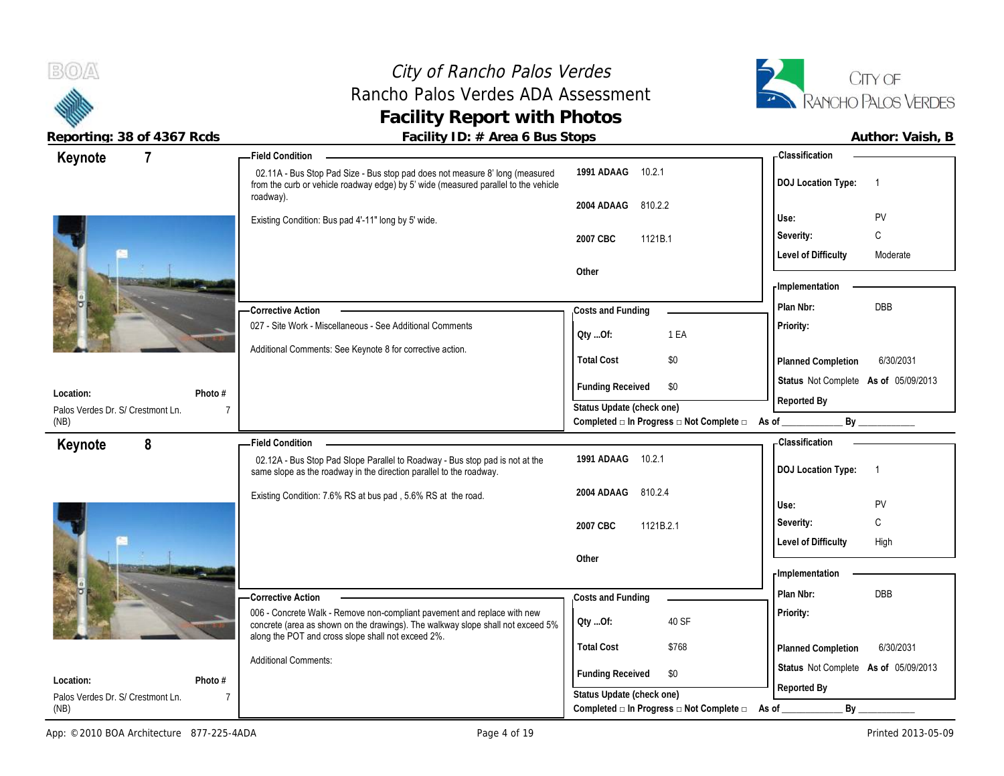### City of Rancho Palos Verdes Rancho Palos Verdes ADA Assessment **Facility Report with Photos**



| $\overline{7}$<br>Keynote                      | - Field Condition                                                                                                                                                                |                                                                                      | - Classification                            |
|------------------------------------------------|----------------------------------------------------------------------------------------------------------------------------------------------------------------------------------|--------------------------------------------------------------------------------------|---------------------------------------------|
|                                                | 02.11A - Bus Stop Pad Size - Bus stop pad does not measure 8' long (measured<br>from the curb or vehicle roadway edge) by 5' wide (measured parallel to the vehicle<br>roadway). | 1991 ADAAG<br>10.2.1                                                                 | <b>DOJ</b> Location Type:<br>$\overline{1}$ |
|                                                |                                                                                                                                                                                  | 810.2.2<br>2004 ADAAG                                                                |                                             |
|                                                | Existing Condition: Bus pad 4'-11" long by 5' wide.                                                                                                                              |                                                                                      | PV<br>Use:                                  |
|                                                |                                                                                                                                                                                  | 2007 CBC<br>1121B.1                                                                  | Severity:<br>C                              |
|                                                |                                                                                                                                                                                  |                                                                                      | <b>Level of Difficulty</b><br>Moderate      |
|                                                |                                                                                                                                                                                  | Other                                                                                |                                             |
|                                                |                                                                                                                                                                                  |                                                                                      | - Implementation                            |
|                                                | <b>Corrective Action</b>                                                                                                                                                         | Costs and Funding                                                                    | Plan Nbr:<br>DBB                            |
|                                                | 027 - Site Work - Miscellaneous - See Additional Comments                                                                                                                        | 1 EA<br>Qty Of:                                                                      | Priority:                                   |
|                                                | Additional Comments: See Keynote 8 for corrective action.                                                                                                                        |                                                                                      |                                             |
|                                                |                                                                                                                                                                                  | <b>Total Cost</b><br>\$0                                                             | 6/30/2031<br>Planned Completion             |
| Location:<br>Photo #                           |                                                                                                                                                                                  | <b>Funding Received</b><br>\$0                                                       | Status Not Complete As of 05/09/2013        |
| Palos Verdes Dr. S/ Crestmont Ln.              |                                                                                                                                                                                  | Status Update (check one)                                                            | Reported By                                 |
| (NB)                                           |                                                                                                                                                                                  | Completed □ In Progress □ Not Complete □ As of _______                               | By                                          |
| 8<br>Keynote                                   | -Field Condition                                                                                                                                                                 |                                                                                      | <b>Classification</b>                       |
|                                                | 02.12A - Bus Stop Pad Slope Parallel to Roadway - Bus stop pad is not at the<br>same slope as the roadway in the direction parallel to the roadway.                              | 1991 ADAAG<br>10.2.1                                                                 | <b>DOJ Location Type:</b><br>$\overline{1}$ |
|                                                |                                                                                                                                                                                  |                                                                                      |                                             |
|                                                |                                                                                                                                                                                  | 2004 ADAAG<br>810.2.4                                                                |                                             |
|                                                | Existing Condition: 7.6% RS at bus pad, 5.6% RS at the road.                                                                                                                     |                                                                                      | PV<br>Use:                                  |
|                                                |                                                                                                                                                                                  | 1121B.2.1<br>2007 CBC                                                                | C<br>Severity:                              |
|                                                |                                                                                                                                                                                  |                                                                                      | <b>Level of Difficulty</b><br>High          |
|                                                |                                                                                                                                                                                  | Other                                                                                |                                             |
|                                                |                                                                                                                                                                                  |                                                                                      | - Implementation                            |
|                                                | <b>Corrective Action</b>                                                                                                                                                         | Costs and Funding                                                                    | DBB<br>Plan Nbr:                            |
|                                                | 006 - Concrete Walk - Remove non-compliant pavement and replace with new<br>concrete (area as shown on the drawings). The walkway slope shall not exceed 5%                      | 40 SF<br>QtyOf:                                                                      | Priority:                                   |
|                                                | along the POT and cross slope shall not exceed 2%.                                                                                                                               | <b>Total Cost</b><br>\$768                                                           | 6/30/2031<br>Planned Completion             |
|                                                | <b>Additional Comments:</b>                                                                                                                                                      |                                                                                      |                                             |
| Location:<br>Photo #                           |                                                                                                                                                                                  | <b>Funding Received</b><br>\$0                                                       | Status Not Complete As of 05/09/2013        |
| Palos Verdes Dr. S/ Crestmont Ln.<br>7<br>(NB) |                                                                                                                                                                                  | Status Update (check one)<br>Completed $\Box$ In Progress $\Box$ Not Complete $\Box$ | Reported By<br>By<br>As of                  |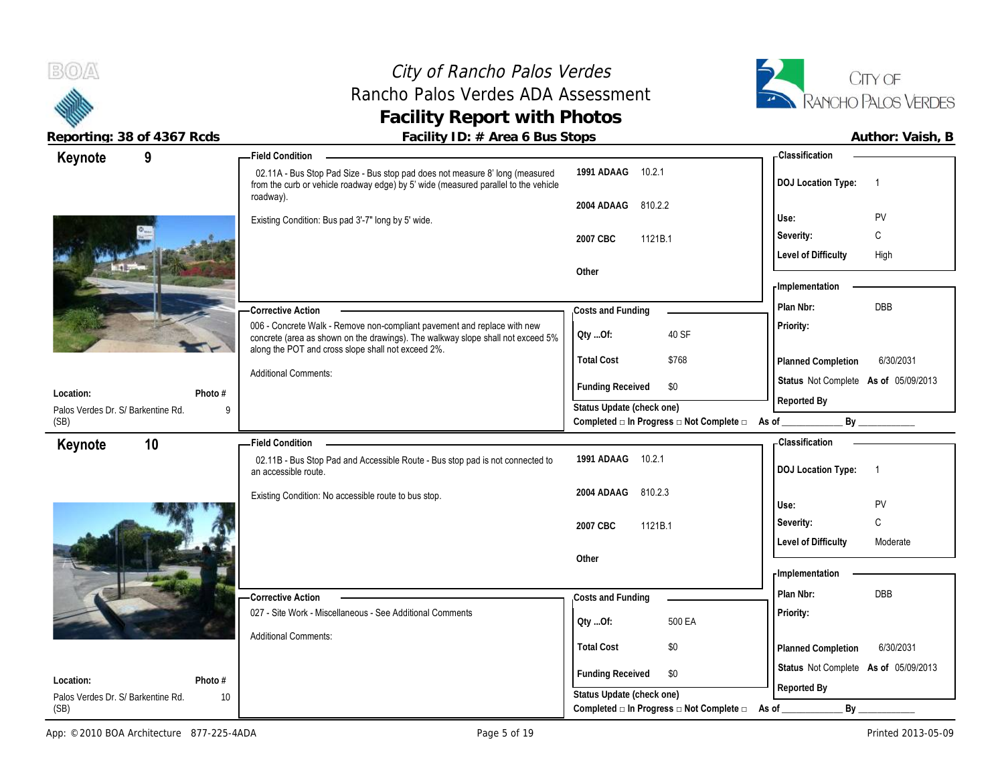### City of Rancho Palos Verdes Rancho Palos Verdes ADA Assessment **Facility Report with Photos**



| 9<br>Keynote                                    | <b>Field Condition</b>                                                                                                                                                                                            |                                                                                               | <b>Classification</b>                       |
|-------------------------------------------------|-------------------------------------------------------------------------------------------------------------------------------------------------------------------------------------------------------------------|-----------------------------------------------------------------------------------------------|---------------------------------------------|
|                                                 | 02.11A - Bus Stop Pad Size - Bus stop pad does not measure 8' long (measured<br>from the curb or vehicle roadway edge) by 5' wide (measured parallel to the vehicle<br>roadway).                                  | 1991 ADAAG 10.2.1                                                                             | <b>DOJ</b> Location Type:<br>$\overline{1}$ |
|                                                 |                                                                                                                                                                                                                   | 810.2.2<br>2004 ADAAG                                                                         |                                             |
|                                                 | Existing Condition: Bus pad 3'-7" long by 5' wide.                                                                                                                                                                |                                                                                               | PV<br>Use:                                  |
|                                                 |                                                                                                                                                                                                                   | 1121B.1<br>2007 CBC                                                                           | C<br>Severity:                              |
|                                                 |                                                                                                                                                                                                                   |                                                                                               | <b>Level of Difficulty</b><br>High          |
|                                                 |                                                                                                                                                                                                                   | Other                                                                                         |                                             |
|                                                 |                                                                                                                                                                                                                   |                                                                                               | <b>Implementation</b>                       |
|                                                 | <b>Corrective Action</b>                                                                                                                                                                                          | Costs and Funding                                                                             | <b>DBB</b><br>Plan Nbr:                     |
|                                                 | 006 - Concrete Walk - Remove non-compliant pavement and replace with new<br>concrete (area as shown on the drawings). The walkway slope shall not exceed 5%<br>along the POT and cross slope shall not exceed 2%. | 40 SF<br>Qty Of:                                                                              | Priority:                                   |
|                                                 |                                                                                                                                                                                                                   | <b>Total Cost</b><br>\$768                                                                    | 6/30/2031<br>Planned Completion             |
|                                                 | <b>Additional Comments:</b>                                                                                                                                                                                       | <b>Funding Received</b><br>\$0                                                                | Status Not Complete As of 05/09/2013        |
| Location:                                       | Photo #                                                                                                                                                                                                           |                                                                                               | Reported By                                 |
| Palos Verdes Dr. S/ Barkentine Rd.<br>(SB)      | 9                                                                                                                                                                                                                 | Status Update (check one)<br>Completed $\square$ In Progress $\square$ Not Complete $\square$ | As of $\_$<br>By                            |
| 10                                              | <b>Field Condition</b>                                                                                                                                                                                            |                                                                                               | Classification                              |
| Keynote                                         | 02.11B - Bus Stop Pad and Accessible Route - Bus stop pad is not connected to<br>an accessible route.                                                                                                             | 1991 ADAAG 10.2.1                                                                             | <b>DOJ Location Type:</b><br>$\overline{1}$ |
|                                                 | Existing Condition: No accessible route to bus stop.                                                                                                                                                              | 2004 ADAAG<br>810.2.3                                                                         |                                             |
|                                                 |                                                                                                                                                                                                                   |                                                                                               | PV<br>Use:                                  |
|                                                 |                                                                                                                                                                                                                   |                                                                                               |                                             |
|                                                 |                                                                                                                                                                                                                   | 2007 CBC<br>1121B.1                                                                           | $\mathbb C$<br>Severity:                    |
|                                                 |                                                                                                                                                                                                                   |                                                                                               | <b>Level of Difficulty</b><br>Moderate      |
|                                                 |                                                                                                                                                                                                                   | Other                                                                                         |                                             |
|                                                 |                                                                                                                                                                                                                   |                                                                                               | - Implementation                            |
|                                                 | - Corrective Action                                                                                                                                                                                               | Costs and Funding                                                                             | Plan Nbr:<br><b>DBB</b>                     |
|                                                 | 027 - Site Work - Miscellaneous - See Additional Comments                                                                                                                                                         |                                                                                               | Priority:                                   |
|                                                 | <b>Additional Comments:</b>                                                                                                                                                                                       | 500 EA<br>QtyOf:                                                                              |                                             |
|                                                 |                                                                                                                                                                                                                   | <b>Total Cost</b><br>\$0                                                                      | 6/30/2031<br>Planned Completion             |
|                                                 |                                                                                                                                                                                                                   | \$0                                                                                           | Status Not Complete As of 05/09/2013        |
| Location:<br>Palos Verdes Dr. S/ Barkentine Rd. | Photo #<br>10                                                                                                                                                                                                     | <b>Funding Received</b><br>Status Update (check one)                                          | Reported By                                 |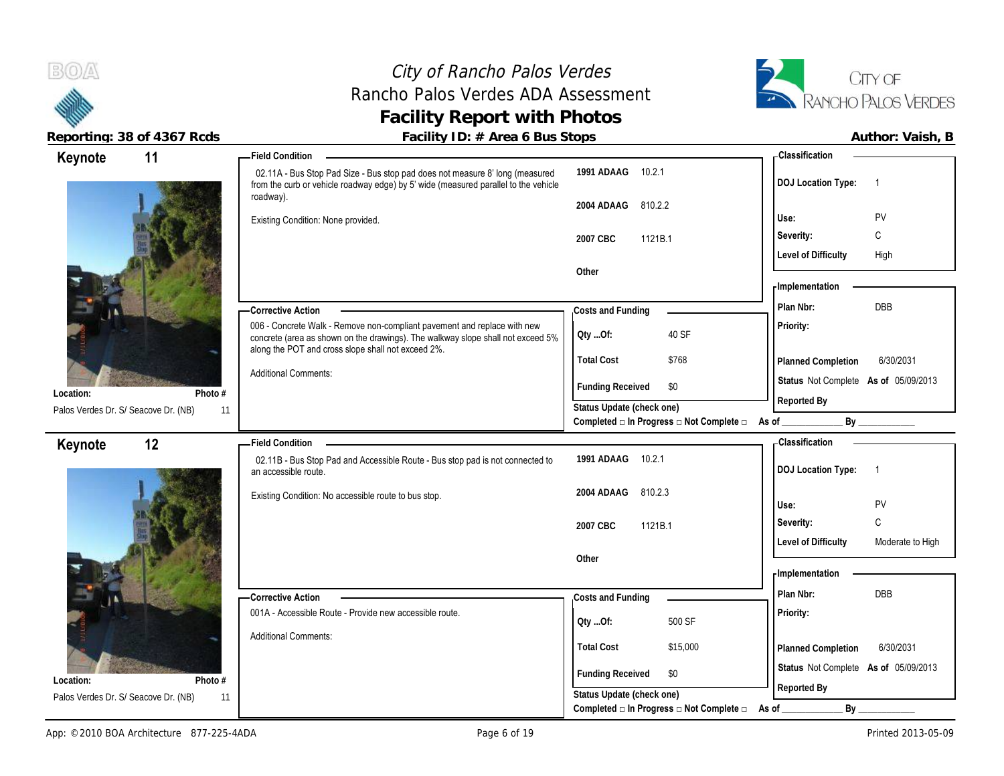

**Location:**

**Location:**

## City of Rancho Palos Verdes Rancho Palos Verdes ADA Assessment **Facility Report with Photos**



Reporting: 38 of 4367 Rcds **Facility ID: # Area 6 Bus Stops Facility ID: # Area 6 Bus Stops Author: Vaish, B** 

### 02.11A - Bus Stop Pad Size - Bus stop pad does not measure 8' long (measured from the curb or vehicle roadway edge) by 5' wide (measured parallel to the vehicle roadway). Existing Condition: None provided. 006 - Concrete Walk - Remove non-compliant pavement and replace with new concrete (area as shown on the drawings). The walkway slope shall not exceed 5% along the POT and cross slope shall not exceed 2%. Additional Comments: **Corrective Action Photo #** 11 **1991 ADAAG** 10.2.1 **2004 ADAAG** 810.2.2 **2007 CBC** 1121B.1 **Other Priority: Total Cost** \$768 **11 Field Condition Status** Not Complete **As of** 05/09/2013 **Keynote Costs and Funding Plan Nbr:** DBB **Use:** PV **Severity:** C **DOJ Location Type:** 1 Level of Difficulty High Palos Verdes Dr. S/ Seacove Dr. (NB) **Planned Completion** 6/30/2031 **Classification Implementation Funding Received \$0 Status Update (check one) Completed □ In Progress □ Not Complete □ As of \_\_\_\_\_\_\_\_\_\_\_\_\_ By \_\_\_\_\_\_\_\_\_\_\_\_ Reported By Qty ...Of:** 40 SF 02.11B - Bus Stop Pad and Accessible Route - Bus stop pad is not connected to an accessible route. Existing Condition: No accessible route to bus stop. 001A - Accessible Route - Provide new accessible route. Additional Comments: **Corrective Action Photo #** 11 **1991 ADAAG** 10.2.1 **2004 ADAAG** 810.2.3 **2007 CBC** 1121B.1 **Other Priority: Total Cost** \$15,000 **12 Field Condition Status** Not Complete **As of** 05/09/2013 **Keynote Costs and Funding Plan Nbr:** DBB **Use:** PV **Severity:** C **DOJ Location Type:** 1 **Level of Difficulty** Moderate to High Palos Verdes Dr. S/ Seacove Dr. (NB) 11 **Planned Completion** 6/30/2031 **Classification Implementation Funding Received \$0 Status Update (check one) Reported By Qty ...Of:** 500 SF

Completed **□** In Progress □ Not Complete □ As of \_\_\_\_\_\_\_\_\_\_\_\_\_\_\_\_\_ By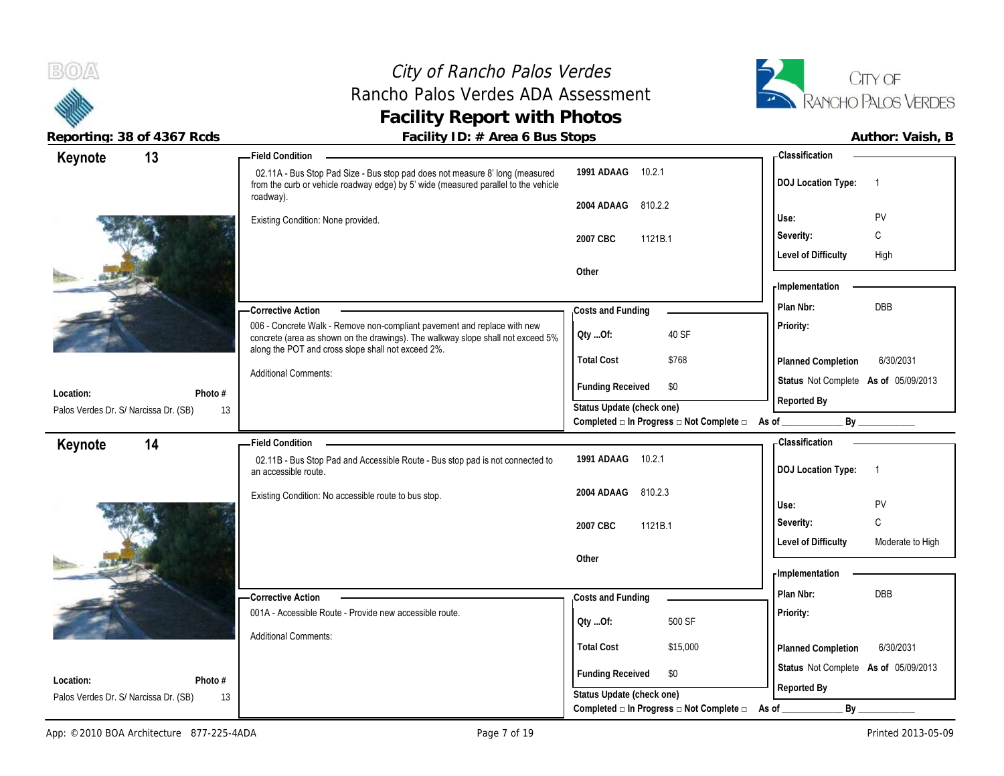## City of Rancho Palos Verdes Rancho Palos Verdes ADA Assessment **Facility Report with Photos**



| 13<br>Keynote                                      |               | <b>Field Condition</b>                                                                                                                                                                                            |                                                      | - Classification                               |
|----------------------------------------------------|---------------|-------------------------------------------------------------------------------------------------------------------------------------------------------------------------------------------------------------------|------------------------------------------------------|------------------------------------------------|
|                                                    |               | 02.11A - Bus Stop Pad Size - Bus stop pad does not measure 8' long (measured<br>from the curb or vehicle roadway edge) by 5' wide (measured parallel to the vehicle<br>roadway).                                  | 1991 ADAAG 10.2.1                                    | <b>DOJ Location Type:</b><br>$\overline{1}$    |
|                                                    |               |                                                                                                                                                                                                                   | 2004 ADAAG<br>810.2.2                                | PV<br>Use:                                     |
|                                                    |               | Existing Condition: None provided.                                                                                                                                                                                |                                                      | C<br>Severity:                                 |
|                                                    |               |                                                                                                                                                                                                                   | 2007 CBC<br>1121B.1                                  | <b>Level of Difficulty</b><br>High             |
|                                                    |               |                                                                                                                                                                                                                   | Other                                                |                                                |
|                                                    |               |                                                                                                                                                                                                                   |                                                      | <b>Implementation</b>                          |
|                                                    |               | -Corrective Action                                                                                                                                                                                                | Costs and Funding                                    | <b>DBB</b><br>Plan Nbr:                        |
|                                                    |               | 006 - Concrete Walk - Remove non-compliant pavement and replace with new<br>concrete (area as shown on the drawings). The walkway slope shall not exceed 5%<br>along the POT and cross slope shall not exceed 2%. | 40 SF<br>Qty Of:                                     | Priority:                                      |
|                                                    |               |                                                                                                                                                                                                                   | <b>Total Cost</b><br>\$768                           | Planned Completion<br>6/30/2031                |
|                                                    |               | <b>Additional Comments:</b>                                                                                                                                                                                       | <b>Funding Received</b><br>\$0                       | Status Not Complete As of 05/09/2013           |
| Location:                                          | Photo #       |                                                                                                                                                                                                                   | Status Update (check one)                            | Reported By                                    |
| Palos Verdes Dr. S/ Narcissa Dr. (SB)              | 13            |                                                                                                                                                                                                                   | Completed □ In Progress □ Not Complete □             | By<br>$\overline{\mathsf{As} \mathsf{ of }$    |
|                                                    |               |                                                                                                                                                                                                                   |                                                      | <b>Classification</b>                          |
|                                                    |               | <b>Field Condition</b>                                                                                                                                                                                            |                                                      |                                                |
| Keynote                                            | 14            | 02.11B - Bus Stop Pad and Accessible Route - Bus stop pad is not connected to<br>an accessible route.                                                                                                             | 1991 ADAAG<br>10.2.1                                 | <b>DOJ Location Type:</b><br>$\overline{1}$    |
|                                                    |               | Existing Condition: No accessible route to bus stop.                                                                                                                                                              | 810.2.3<br>2004 ADAAG                                |                                                |
|                                                    |               |                                                                                                                                                                                                                   |                                                      | PV<br>Use:                                     |
|                                                    |               |                                                                                                                                                                                                                   | 1121B.1<br>2007 CBC                                  | C<br>Severity:                                 |
|                                                    |               |                                                                                                                                                                                                                   |                                                      | <b>Level of Difficulty</b><br>Moderate to High |
|                                                    |               |                                                                                                                                                                                                                   | Other                                                | - Implementation                               |
|                                                    |               |                                                                                                                                                                                                                   |                                                      | DBB<br>Plan Nbr:                               |
|                                                    |               | -Corrective Action<br>001A - Accessible Route - Provide new accessible route.                                                                                                                                     | Costs and Funding                                    | Priority:                                      |
|                                                    |               |                                                                                                                                                                                                                   | 500 SF<br>Qty Of:                                    |                                                |
|                                                    |               | <b>Additional Comments:</b>                                                                                                                                                                                       | <b>Total Cost</b><br>\$15,000                        | Planned Completion<br>6/30/2031                |
|                                                    |               |                                                                                                                                                                                                                   | \$0                                                  | Status Not Complete As of 05/09/2013           |
| Location:<br>Palos Verdes Dr. S/ Narcissa Dr. (SB) | Photo #<br>13 |                                                                                                                                                                                                                   | <b>Funding Received</b><br>Status Update (check one) | Reported By                                    |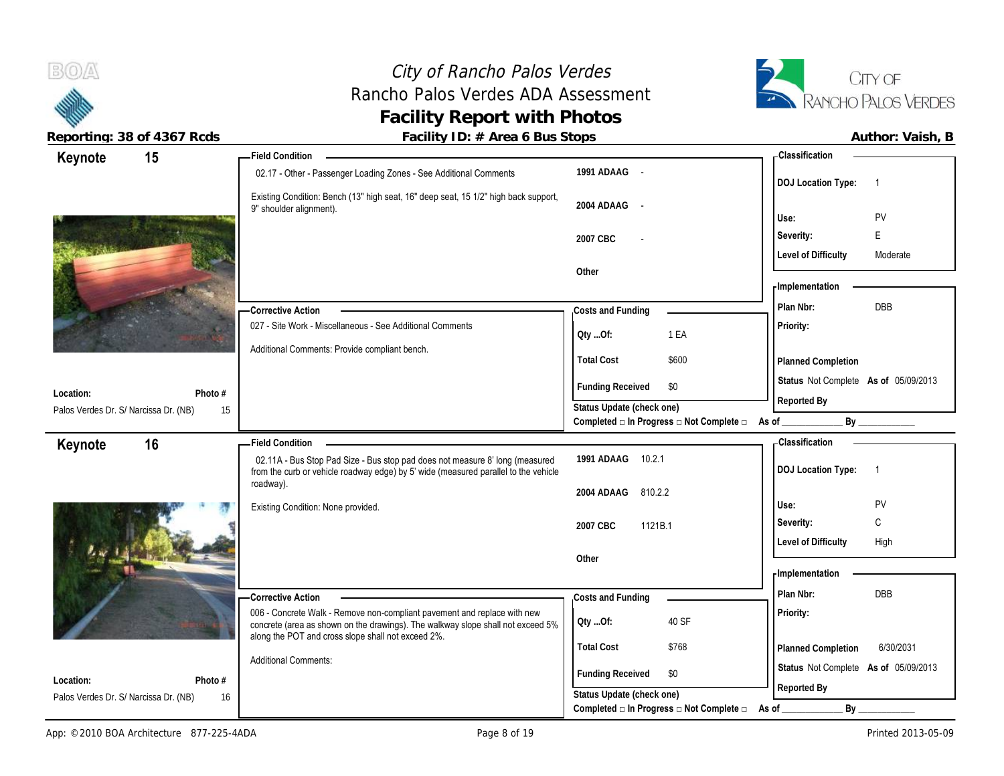

 $B(0)$ 

|                                       | Reporting: 38 of 4367 Rcds | Facility ID: # Area 6 Bus Stops                                                                                                                                                  |                                                                 | Author: Vaish, B                            |
|---------------------------------------|----------------------------|----------------------------------------------------------------------------------------------------------------------------------------------------------------------------------|-----------------------------------------------------------------|---------------------------------------------|
| Keynote                               | 15                         | Field Condition ___                                                                                                                                                              |                                                                 | - Classification                            |
|                                       |                            | 02.17 - Other - Passenger Loading Zones - See Additional Comments                                                                                                                | 1991 ADAAG -                                                    | <b>DOJ Location Type:</b><br>$\overline{1}$ |
|                                       |                            | Existing Condition: Bench (13" high seat, 16" deep seat, 15 1/2" high back support,<br>9" shoulder alignment).                                                                   | 2004 ADAAG -                                                    | Use:<br>PV                                  |
|                                       |                            |                                                                                                                                                                                  |                                                                 | F<br>Severity:                              |
|                                       |                            |                                                                                                                                                                                  | 2007 CBC                                                        | <b>Level of Difficulty</b><br>Moderate      |
|                                       |                            |                                                                                                                                                                                  | Other                                                           |                                             |
|                                       |                            |                                                                                                                                                                                  |                                                                 | <b>Implementation</b>                       |
|                                       |                            | -Corrective Action                                                                                                                                                               | Costs and Funding                                               | DBB<br>Plan Nbr:                            |
|                                       |                            | 027 - Site Work - Miscellaneous - See Additional Comments                                                                                                                        | QtyOf:<br>1 EA                                                  | Priority:                                   |
|                                       |                            | Additional Comments: Provide compliant bench.                                                                                                                                    | <b>Total Cost</b><br>\$600                                      | Planned Completion                          |
| Location:                             | Photo #                    |                                                                                                                                                                                  | <b>Funding Received</b><br>\$0                                  | Status Not Complete As of 05/09/2013        |
| Palos Verdes Dr. S/ Narcissa Dr. (NB) | 15                         |                                                                                                                                                                                  | Status Update (check one)                                       | Reported By                                 |
|                                       |                            |                                                                                                                                                                                  | Completed $\Box$ In Progress $\Box$ Not Complete $\Box$ As of _ |                                             |
| Keynote                               | 16                         | <b>Field Condition</b>                                                                                                                                                           |                                                                 | <b>Classification</b>                       |
|                                       |                            | 02.11A - Bus Stop Pad Size - Bus stop pad does not measure 8' long (measured<br>from the curb or vehicle roadway edge) by 5' wide (measured parallel to the vehicle<br>roadway). | 1991 ADAAG<br>10.2.1                                            | <b>DOJ Location Type:</b><br>$\overline{1}$ |
|                                       |                            |                                                                                                                                                                                  | 2004 ADAAG<br>810.2.2                                           | PV                                          |
|                                       |                            | Existing Condition: None provided.                                                                                                                                               |                                                                 | Use:<br>C<br>Severity:                      |
|                                       |                            |                                                                                                                                                                                  | 2007 CBC<br>1121B.1                                             | <b>Level of Difficulty</b><br>High          |
|                                       |                            |                                                                                                                                                                                  | Other                                                           |                                             |
|                                       |                            |                                                                                                                                                                                  |                                                                 | - Implementation                            |
|                                       |                            | <b>Corrective Action</b>                                                                                                                                                         | Costs and Funding                                               | Plan Nbr:<br>DBB                            |
|                                       |                            | 006 - Concrete Walk - Remove non-compliant pavement and replace with new<br>concrete (area as shown on the drawings). The walkway slope shall not exceed 5%                      | 40 SF<br>Oty Of:                                                | Priority:                                   |
|                                       |                            | along the POT and cross slope shall not exceed 2%.                                                                                                                               | <b>Total Cost</b><br>\$768                                      | Planned Completion<br>6/30/2031             |
| Location:                             | Photo $#$                  | <b>Additional Comments:</b>                                                                                                                                                      | <b>Funding Received</b><br>\$0                                  | Status Not Complete As of 05/09/2013        |
| Palos Verdes Dr. S/ Narcissa Dr. (NB) | 16                         |                                                                                                                                                                                  | Status Update (check one)                                       | Reported By                                 |
|                                       |                            |                                                                                                                                                                                  | Completed □ In Progress □ Not Complete □                        | As of<br>By                                 |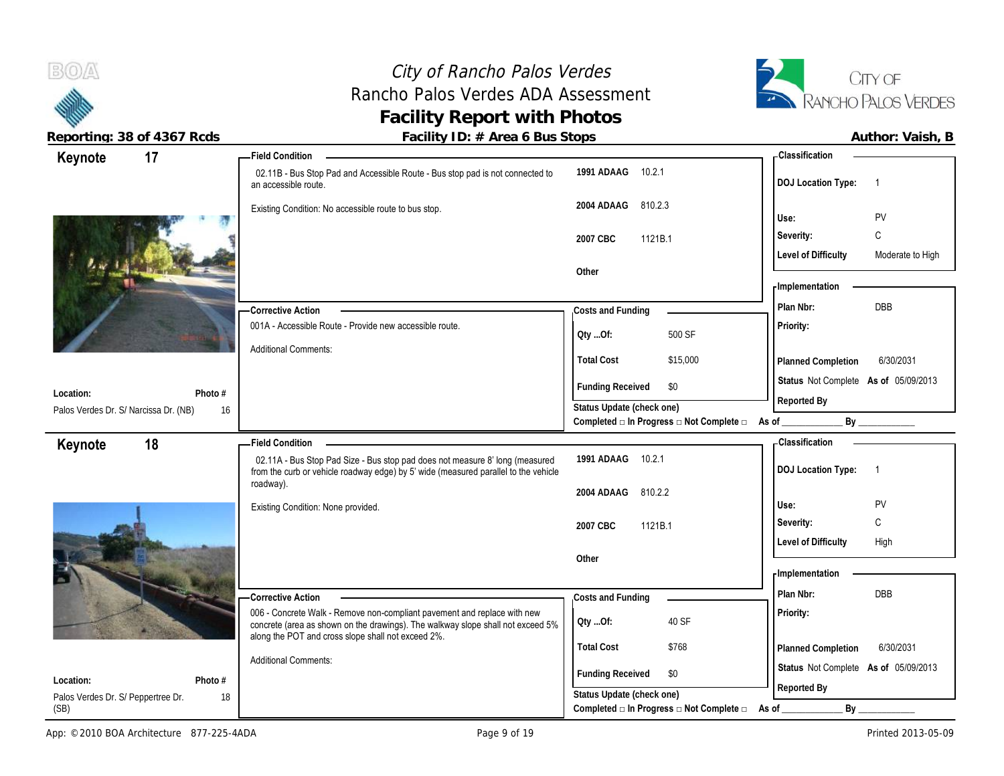

 $B(0)$ 

| 17<br>Keynote                         |               | <b>Field Condition</b>                                                                                                                                              |                                          |          | - Classification                                   |                  |
|---------------------------------------|---------------|---------------------------------------------------------------------------------------------------------------------------------------------------------------------|------------------------------------------|----------|----------------------------------------------------|------------------|
|                                       |               | 02.11B - Bus Stop Pad and Accessible Route - Bus stop pad is not connected to<br>an accessible route.                                                               | 1991 ADAAG 10.2.1                        |          | <b>DOJ Location Type:</b>                          | $\overline{1}$   |
|                                       |               | Existing Condition: No accessible route to bus stop.                                                                                                                | 2004 ADAAG<br>810.2.3                    |          | Use:                                               | PV               |
|                                       |               |                                                                                                                                                                     | 2007 CBC<br>1121B.1                      |          | Severity:                                          | C                |
|                                       |               |                                                                                                                                                                     |                                          |          | <b>Level of Difficulty</b>                         | Moderate to High |
|                                       |               |                                                                                                                                                                     | Other                                    |          |                                                    |                  |
|                                       |               |                                                                                                                                                                     |                                          |          | <b>Implementation</b>                              |                  |
|                                       |               | - Corrective Action                                                                                                                                                 | Costs and Funding                        |          | Plan Nbr:                                          | DBB              |
|                                       |               | 001A - Accessible Route - Provide new accessible route.                                                                                                             | Oty Of:                                  | 500 SF   | Priority:                                          |                  |
|                                       |               | <b>Additional Comments:</b>                                                                                                                                         | <b>Total Cost</b>                        | \$15,000 | Planned Completion                                 | 6/30/2031        |
| Location:                             | Photo #       |                                                                                                                                                                     | <b>Funding Received</b><br>\$0           |          | Status Not Complete As of 05/09/2013               |                  |
| Palos Verdes Dr. S/ Narcissa Dr. (NB) | 16            |                                                                                                                                                                     | Status Update (check one)                |          | Reported By                                        |                  |
|                                       |               |                                                                                                                                                                     | Completed □ In Progress □ Not Complete □ |          | As of $\_\_\_\_\_\_\_\_\_\_\_\_\_\_\_\_\_\_\_\_\_$ | By               |
| 18<br>Keynote                         |               | <b>Field Condition</b>                                                                                                                                              |                                          |          | <b>Classification</b>                              |                  |
|                                       |               | 02.11A - Bus Stop Pad Size - Bus stop pad does not measure 8' long (measured<br>from the curb or vehicle roadway edge) by 5' wide (measured parallel to the vehicle | 1991 ADAAG<br>10.2.1                     |          | <b>DOJ Location Type:</b>                          | $\overline{1}$   |
|                                       |               | roadway).                                                                                                                                                           | 2004 ADAAG<br>810.2.2                    |          |                                                    |                  |
|                                       |               | Existing Condition: None provided.                                                                                                                                  |                                          |          | Use:                                               | <b>PV</b>        |
|                                       |               |                                                                                                                                                                     | 2007 CBC<br>1121B.1                      |          | Severity:                                          | C                |
|                                       |               |                                                                                                                                                                     | Other                                    |          | <b>Level of Difficulty</b>                         | High             |
|                                       |               |                                                                                                                                                                     |                                          |          | - Implementation                                   |                  |
|                                       |               | <b>Corrective Action</b>                                                                                                                                            | Costs and Funding                        |          | Plan Nbr:                                          | <b>DBB</b>       |
|                                       |               | 006 - Concrete Walk - Remove non-compliant pavement and replace with new                                                                                            | 40 SF                                    |          | Priority:                                          |                  |
|                                       |               | concrete (area as shown on the drawings). The walkway slope shall not exceed 5%<br>along the POT and cross slope shall not exceed 2%.                               | Oty Of:                                  |          |                                                    |                  |
|                                       |               |                                                                                                                                                                     | <b>Total Cost</b><br>\$768               |          | Planned Completion                                 | 6/30/2031        |
|                                       |               |                                                                                                                                                                     |                                          |          |                                                    |                  |
| Location:                             |               | <b>Additional Comments:</b>                                                                                                                                         | <b>Funding Received</b><br>\$0           |          | Status Not Complete As of 05/09/2013               |                  |
| Palos Verdes Dr. S/ Peppertree Dr.    | Photo #<br>18 |                                                                                                                                                                     | Status Update (check one)                |          | Reported By                                        |                  |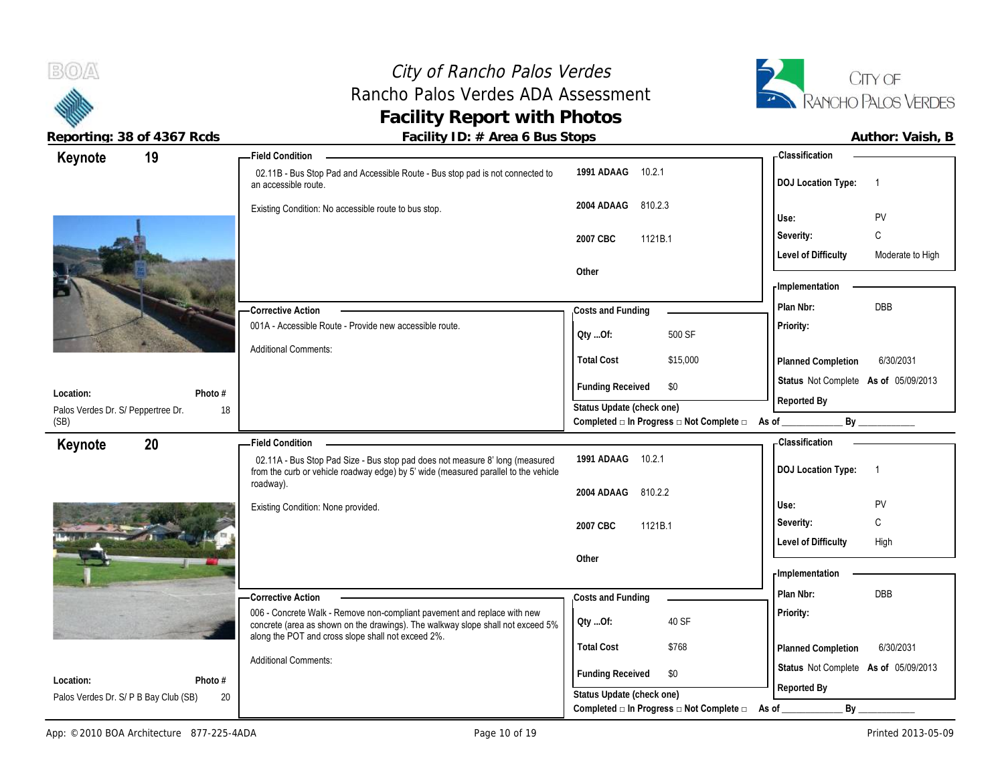## City of Rancho Palos Verdes Rancho Palos Verdes ADA Assessment **Facility Report with Photos**



|                                | Classification                                      |
|--------------------------------|-----------------------------------------------------|
| 10.2.1<br>1991 ADAAG           | <b>DOJ Location Type:</b><br>$\overline{1}$         |
| 810.2.3<br>2004 ADAAG          | PV<br>Use:                                          |
| 2007 CBC<br>1121B.1            | C<br>Severity:                                      |
|                                | <b>Level of Difficulty</b><br>Moderate to High      |
|                                | - Implementation                                    |
| Costs and Funding              | Plan Nbr:<br><b>DBB</b>                             |
| 500 SF<br>QtyOf:               | Priority:                                           |
| <b>Total Cost</b><br>\$15,000  | 6/30/2031<br>Planned Completion                     |
| <b>Funding Received</b><br>\$0 | Status Not Complete As of 05/09/2013                |
| Status Update (check one)      | Reported By<br>As of $\_$                           |
|                                | Classification                                      |
| 10.2.1<br>1991 ADAAG           | <b>DOJ Location Type:</b><br>$\overline{1}$         |
| 810.2.2<br>2004 ADAAG          |                                                     |
|                                |                                                     |
| 2007 CBC<br>1121B.1            | PV<br>Use:<br>$\mathsf C$<br>Severity:              |
|                                | <b>Level of Difficulty</b><br>High                  |
| Other                          | - Implementation                                    |
| Costs and Funding              | Plan Nbr:<br><b>DBB</b>                             |
| 40 SF<br>QtyOf:                | Priority:                                           |
| <b>Total Cost</b><br>\$768     | 6/30/2031<br>Planned Completion                     |
| <b>Funding Received</b><br>\$0 | Status Not Complete As of 05/09/2013<br>Reported By |
|                                | Other<br>Completed □ In Progress □ Not Complete □   |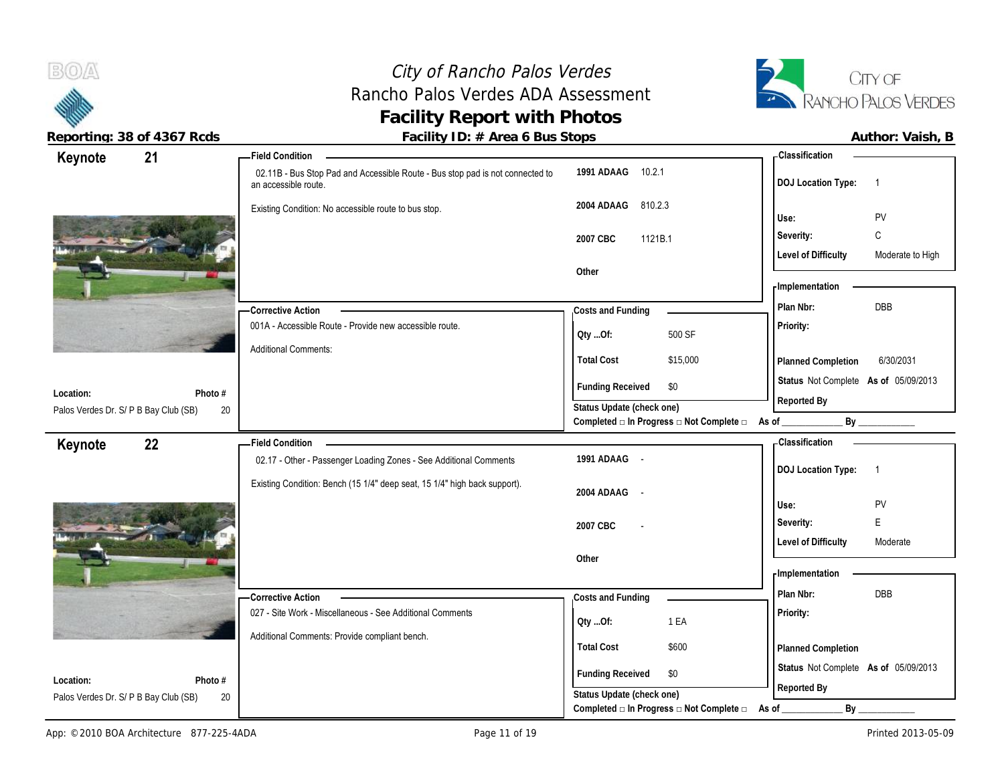## City of Rancho Palos Verdes Rancho Palos Verdes ADA Assessment **Facility Report with Photos**



| Keynote                               | 21      | <b>Field Condition</b>                                                                                |                                                                       | <b>Classification</b>                          |
|---------------------------------------|---------|-------------------------------------------------------------------------------------------------------|-----------------------------------------------------------------------|------------------------------------------------|
|                                       |         | 02.11B - Bus Stop Pad and Accessible Route - Bus stop pad is not connected to<br>an accessible route. | 1991 ADAAG 10.2.1                                                     | <b>DOJ Location Type:</b><br>-1                |
|                                       |         | Existing Condition: No accessible route to bus stop.                                                  | 810.2.3<br>2004 ADAAG                                                 | PV<br>Use:                                     |
|                                       |         |                                                                                                       | 1121B.1<br>2007 CBC                                                   | C<br>Severity:                                 |
|                                       |         |                                                                                                       |                                                                       | <b>Level of Difficulty</b><br>Moderate to High |
|                                       |         |                                                                                                       | Other                                                                 |                                                |
|                                       |         |                                                                                                       |                                                                       | - Implementation                               |
|                                       |         | <b>Corrective Action</b>                                                                              | Costs and Funding                                                     | Plan Nbr:<br><b>DBB</b>                        |
|                                       |         | 001A - Accessible Route - Provide new accessible route.                                               | 500 SF<br>QtyOf:                                                      | Priority:                                      |
|                                       |         | <b>Additional Comments:</b>                                                                           | <b>Total Cost</b><br>\$15,000                                         | 6/30/2031<br>Planned Completion                |
| Location:                             | Photo # |                                                                                                       | <b>Funding Received</b><br>\$0                                        | Status Not Complete As of 05/09/2013           |
| Palos Verdes Dr. S/ P B Bay Club (SB) |         | 20                                                                                                    | Status Update (check one)                                             | Reported By                                    |
|                                       |         |                                                                                                       | Completed □ In Progress □ Not Complete □ As of ________               | By                                             |
| Keynote                               | 22      | <b>Field Condition</b>                                                                                |                                                                       | <b>Classification</b>                          |
|                                       |         | 02.17 - Other - Passenger Loading Zones - See Additional Comments                                     | 1991 ADAAG -                                                          | <b>DOJ Location Type:</b><br>-1                |
|                                       |         |                                                                                                       |                                                                       |                                                |
|                                       |         | Existing Condition: Bench (15 1/4" deep seat, 15 1/4" high back support).                             | $\sim$ $\sim$                                                         |                                                |
|                                       |         |                                                                                                       | 2004 ADAAG                                                            | PV<br>Use:                                     |
|                                       |         |                                                                                                       | 2007 CBC                                                              | E<br>Severity:                                 |
|                                       |         |                                                                                                       |                                                                       | <b>Level of Difficulty</b><br>Moderate         |
|                                       |         |                                                                                                       | Other                                                                 |                                                |
|                                       |         |                                                                                                       |                                                                       | <b>Implementation</b>                          |
|                                       |         | -Corrective Action                                                                                    | Costs and Funding                                                     | Plan Nbr:<br><b>DBB</b>                        |
|                                       |         | 027 - Site Work - Miscellaneous - See Additional Comments                                             | 1 EA<br>Oty Of:                                                       | Priority:                                      |
|                                       |         | Additional Comments: Provide compliant bench.                                                         |                                                                       |                                                |
|                                       |         |                                                                                                       | <b>Total Cost</b><br>\$600                                            | Planned Completion                             |
| Location:                             | Photo # |                                                                                                       | <b>Funding Received</b><br>\$0                                        | Status Not Complete As of 05/09/2013           |
| Palos Verdes Dr. S/ P B Bay Club (SB) |         | 20                                                                                                    | Status Update (check one)<br>Completed □ In Progress □ Not Complete □ | Reported By<br>By<br>As of                     |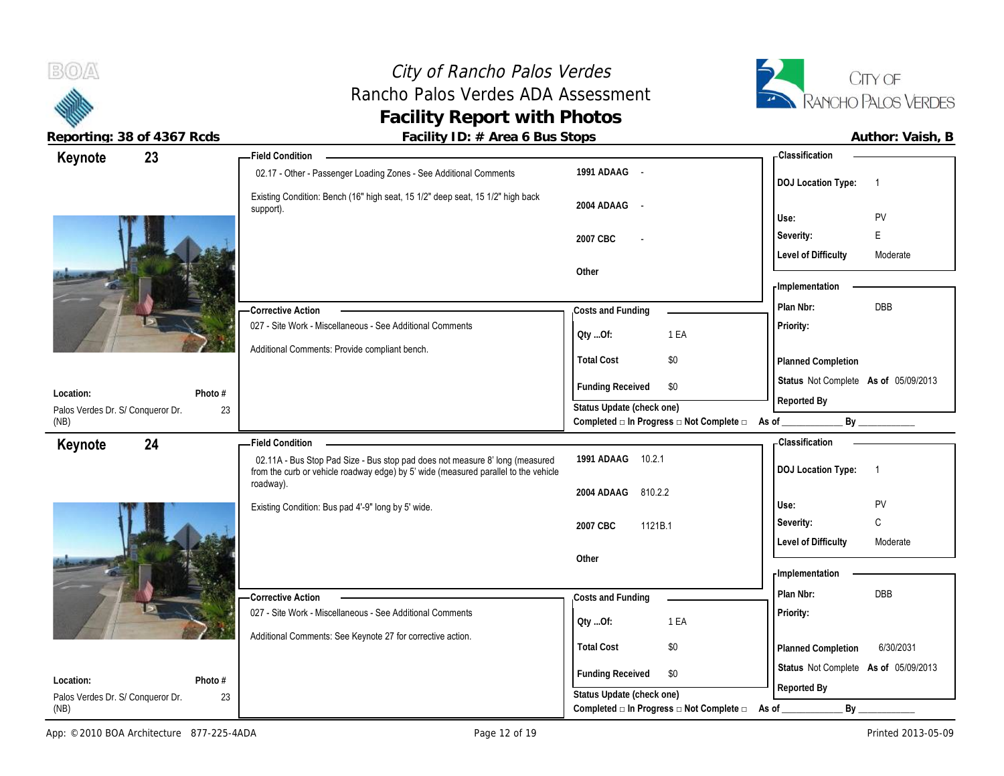City of Rancho Palos Verdes<br> **ho Palos Verdes ADA Assessment**<br> **Exancho Palos Verdes ADA Assessment**<br> **Exancho Palos Verdes** Rancho Palos Verdes ADA Assessment **Facility Report with Photos**



 $B(0)$ 

| Author: Vaish, I |  |
|------------------|--|
|                  |  |

| 23<br>Keynote                     |         | <b>Field Condition</b>                                                                                                                                              |                             |                                                                 | - Classification                     |                |
|-----------------------------------|---------|---------------------------------------------------------------------------------------------------------------------------------------------------------------------|-----------------------------|-----------------------------------------------------------------|--------------------------------------|----------------|
|                                   |         | 02.17 - Other - Passenger Loading Zones - See Additional Comments                                                                                                   | 1991 ADAAG -                |                                                                 | <b>DOJ Location Type:</b>            | $\overline{1}$ |
|                                   |         | Existing Condition: Bench (16" high seat, 15 1/2" deep seat, 15 1/2" high back<br>support).                                                                         | 2004 ADAAG<br>$\sim$ $\sim$ |                                                                 | Use:                                 | PV             |
|                                   |         |                                                                                                                                                                     |                             |                                                                 |                                      | E              |
|                                   |         |                                                                                                                                                                     | 2007 CBC                    |                                                                 | Severity:                            |                |
|                                   |         |                                                                                                                                                                     | Other                       |                                                                 | <b>Level of Difficulty</b>           | Moderate       |
|                                   |         |                                                                                                                                                                     |                             |                                                                 | - Implementation                     |                |
|                                   |         | -Corrective Action                                                                                                                                                  | Costs and Funding           |                                                                 | Plan Nbr:                            | DBB            |
|                                   |         | 027 - Site Work - Miscellaneous - See Additional Comments                                                                                                           |                             |                                                                 | Priority:                            |                |
|                                   |         | Additional Comments: Provide compliant bench.                                                                                                                       | Oty Of:                     | 1 EA                                                            |                                      |                |
|                                   |         |                                                                                                                                                                     | <b>Total Cost</b>           | \$0                                                             | Planned Completion                   |                |
| Location:                         | Photo # |                                                                                                                                                                     | <b>Funding Received</b>     | \$0                                                             | Status Not Complete As of 05/09/2013 |                |
| Palos Verdes Dr. S/ Conqueror Dr. | 23      |                                                                                                                                                                     | Status Update (check one)   |                                                                 | Reported By                          |                |
| (NB)                              |         |                                                                                                                                                                     |                             | Completed $\Box$ In Progress $\Box$ Not Complete $\Box$ As of _ |                                      | By             |
| 24<br>Keynote                     |         | <b>Field Condition</b>                                                                                                                                              |                             |                                                                 | - Classification                     |                |
|                                   |         | 02.11A - Bus Stop Pad Size - Bus stop pad does not measure 8' long (measured<br>from the curb or vehicle roadway edge) by 5' wide (measured parallel to the vehicle | 1991 ADAAG<br>10.2.1        |                                                                 | <b>DOJ Location Type:</b>            | $\overline{1}$ |
|                                   |         | roadway).                                                                                                                                                           | 810.2.2<br>2004 ADAAG       |                                                                 |                                      |                |
|                                   |         | Existing Condition: Bus pad 4'-9" long by 5' wide.                                                                                                                  |                             |                                                                 | Use:                                 | PV             |
|                                   |         |                                                                                                                                                                     | 2007 CBC<br>1121B.1         |                                                                 | Severity:                            | C              |
|                                   |         |                                                                                                                                                                     |                             |                                                                 | <b>Level of Difficulty</b>           | Moderate       |
|                                   |         |                                                                                                                                                                     | Other                       |                                                                 |                                      |                |
|                                   |         |                                                                                                                                                                     |                             |                                                                 | - Implementation                     |                |
|                                   |         | -Corrective Action                                                                                                                                                  | Costs and Funding           |                                                                 | Plan Nbr:                            | DBB            |
|                                   |         | 027 - Site Work - Miscellaneous - See Additional Comments                                                                                                           | Oty Of:                     | 1 EA                                                            | Priority:                            |                |
|                                   |         | Additional Comments: See Keynote 27 for corrective action.                                                                                                          | <b>Total Cost</b>           | \$0                                                             |                                      | 6/30/2031      |
|                                   |         |                                                                                                                                                                     |                             |                                                                 | Planned Completion                   |                |
| Location:                         | Photo # |                                                                                                                                                                     | <b>Funding Received</b>     | \$0                                                             | Status Not Complete As of 05/09/2013 |                |
| Palos Verdes Dr. S/ Conqueror Dr. | 23      |                                                                                                                                                                     | Status Update (check one)   |                                                                 | Reported By                          |                |
| (NB)                              |         |                                                                                                                                                                     |                             | Completed □ In Progress □ Not Complete □                        | By<br>As of                          |                |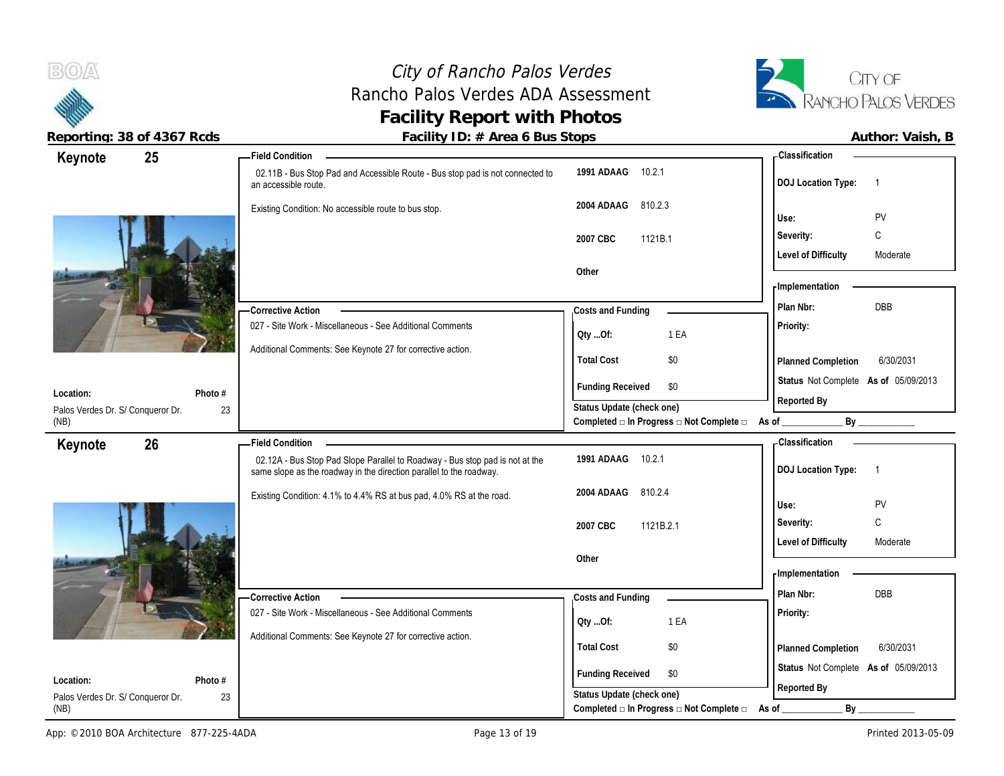### City of Rancho Palos Verdes Rancho Palos Verdes ADA Assessment **Facility Report with Photos Reporting: 38 of 4367 Rcds Facility ID: # Area 6 Bus Stops Author: Vaish, B**



| ACPULLING. JOUL 4JUT NUUS         |                                                           | $\frac{1}{2}$ activity TD. $\pi$ He call Dus Jtops                                                                                                  |                                                                 | AULIIUI. VAISII, D                          |
|-----------------------------------|-----------------------------------------------------------|-----------------------------------------------------------------------------------------------------------------------------------------------------|-----------------------------------------------------------------|---------------------------------------------|
| Keynote                           | 25                                                        | <b>Field Condition</b>                                                                                                                              |                                                                 | <b>Classification</b>                       |
|                                   |                                                           | 02.11B - Bus Stop Pad and Accessible Route - Bus stop pad is not connected to<br>an accessible route.                                               | 1991 ADAAG<br>10.2.1                                            | <b>DOJ Location Type:</b><br>$\overline{1}$ |
|                                   |                                                           | Existing Condition: No accessible route to bus stop.                                                                                                | 2004 ADAAG<br>810.2.3                                           |                                             |
|                                   |                                                           |                                                                                                                                                     |                                                                 | PV<br>Use:                                  |
|                                   |                                                           |                                                                                                                                                     | 2007 CBC<br>1121B.1                                             | C<br>Severity:                              |
|                                   |                                                           |                                                                                                                                                     |                                                                 | <b>Level of Difficulty</b><br>Moderate      |
|                                   |                                                           |                                                                                                                                                     | Other                                                           | <b>Implementation</b>                       |
|                                   |                                                           |                                                                                                                                                     |                                                                 |                                             |
|                                   |                                                           | <b>Corrective Action</b>                                                                                                                            | Costs and Funding                                               | DBB<br>Plan Nbr:                            |
|                                   | 027 - Site Work - Miscellaneous - See Additional Comments | Oty Of:<br>1 EA                                                                                                                                     | Priority:                                                       |                                             |
|                                   |                                                           | Additional Comments: See Keynote 27 for corrective action.                                                                                          | <b>Total Cost</b><br>\$0                                        | 6/30/2031                                   |
|                                   |                                                           |                                                                                                                                                     |                                                                 | Planned Completion                          |
| Location:                         | Photo #                                                   |                                                                                                                                                     | <b>Funding Received</b><br>\$0                                  | Status Not Complete As of 05/09/2013        |
| Palos Verdes Dr. S/ Conqueror Dr. | 23                                                        |                                                                                                                                                     | Status Update (check one)                                       | Reported By                                 |
| (NB)                              |                                                           |                                                                                                                                                     | Completed $\Box$ In Progress $\Box$ Not Complete $\Box$ As of _ | By                                          |
| Keynote                           | 26                                                        | <b>Field Condition</b>                                                                                                                              |                                                                 | - Classification                            |
|                                   |                                                           | 02.12A - Bus Stop Pad Slope Parallel to Roadway - Bus stop pad is not at the<br>same slope as the roadway in the direction parallel to the roadway. | 1991 ADAAG<br>10.2.1                                            | <b>DOJ Location Type:</b><br>$\overline{1}$ |
|                                   |                                                           | Existing Condition: 4.1% to 4.4% RS at bus pad, 4.0% RS at the road.                                                                                | 2004 ADAAG<br>810.2.4                                           |                                             |
|                                   |                                                           |                                                                                                                                                     |                                                                 | Use:<br>PV                                  |
|                                   |                                                           |                                                                                                                                                     | 2007 CBC<br>1121B.2.1                                           | C<br>Severity:                              |
|                                   |                                                           |                                                                                                                                                     |                                                                 | <b>Level of Difficulty</b><br>Moderate      |
|                                   |                                                           |                                                                                                                                                     | Other                                                           | - Implementation                            |
|                                   |                                                           |                                                                                                                                                     |                                                                 |                                             |
|                                   |                                                           | <b>Corrective Action</b>                                                                                                                            | Costs and Funding                                               | Plan Nbr:<br>DBB                            |
|                                   |                                                           | 027 - Site Work - Miscellaneous - See Additional Comments                                                                                           | 1 EA<br>QtyOf:                                                  | Priority:                                   |
|                                   |                                                           | Additional Comments: See Keynote 27 for corrective action.                                                                                          | <b>Total Cost</b><br>\$0                                        | 6/30/2031                                   |
|                                   |                                                           |                                                                                                                                                     |                                                                 | Planned Completion                          |
| Location:                         | Photo #                                                   |                                                                                                                                                     | <b>Funding Received</b><br>\$0                                  | Status Not Complete As of 05/09/2013        |
|                                   |                                                           |                                                                                                                                                     | Status Update (check one)                                       | Reported By                                 |
| Palos Verdes Dr. S/ Conqueror Dr. | 23                                                        |                                                                                                                                                     |                                                                 |                                             |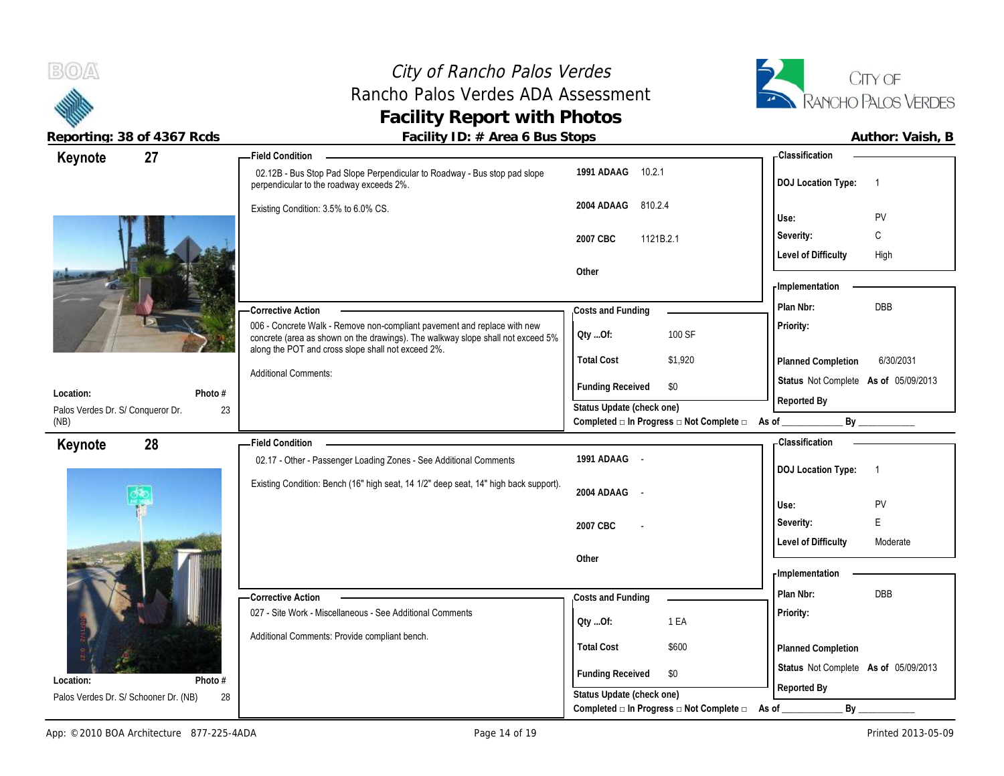# City of Rancho Palos Verdes Rancho Palos Verdes ADA Assessment **Facility Report with Photos**<br>Facility ID: # Area 6 Bus Stops



| Reporting: 38 of 4367 Rcds        |         | Facility ID: # Area 6 Bus Stops                                                                                                                             |                           |                                                          |                                                     | Author: Vaish, B |
|-----------------------------------|---------|-------------------------------------------------------------------------------------------------------------------------------------------------------------|---------------------------|----------------------------------------------------------|-----------------------------------------------------|------------------|
| Keynote                           | 27      | <b>Field Condition</b>                                                                                                                                      |                           |                                                          | - Classification                                    |                  |
|                                   |         | 02.12B - Bus Stop Pad Slope Perpendicular to Roadway - Bus stop pad slope<br>perpendicular to the roadway exceeds 2%.                                       | 1991 ADAAG 10.2.1         |                                                          | <b>DOJ Location Type:</b>                           | $\overline{1}$   |
|                                   |         | Existing Condition: 3.5% to 6.0% CS.                                                                                                                        | 2004 ADAAG                | 810.2.4                                                  | Use:                                                | PV               |
|                                   |         |                                                                                                                                                             | 2007 CBC                  | 1121B.2.1                                                | Severity:                                           | C                |
|                                   |         |                                                                                                                                                             |                           |                                                          | <b>Level of Difficulty</b>                          | High             |
|                                   |         |                                                                                                                                                             | Other                     |                                                          | - Implementation                                    |                  |
|                                   |         | - Corrective Action                                                                                                                                         | Costs and Funding         |                                                          | Plan Nbr:                                           | <b>DBB</b>       |
|                                   |         | 006 - Concrete Walk - Remove non-compliant pavement and replace with new<br>concrete (area as shown on the drawings). The walkway slope shall not exceed 5% | QtyOf:                    | 100 SF                                                   | Priority:                                           |                  |
|                                   |         | along the POT and cross slope shall not exceed 2%.                                                                                                          | <b>Total Cost</b>         | \$1,920                                                  | Planned Completion                                  | 6/30/2031        |
| Location:                         | Photo # | <b>Additional Comments:</b>                                                                                                                                 | <b>Funding Received</b>   | \$0                                                      | Status Not Complete As of 05/09/2013<br>Reported By |                  |
| Palos Verdes Dr. S/ Conqueror Dr. | 23      |                                                                                                                                                             | Status Update (check one) |                                                          |                                                     |                  |
| (NB)                              |         |                                                                                                                                                             |                           | Completed □ In Progress □ Not Complete □ As of _________ |                                                     | By               |
| Keynote                           | 28      | <b>Field Condition</b>                                                                                                                                      |                           |                                                          | - Classification                                    |                  |
|                                   |         | 02.17 - Other - Passenger Loading Zones - See Additional Comments                                                                                           | 1991 ADAAG -              |                                                          | <b>DOJ Location Type:</b>                           | $\overline{1}$   |
|                                   |         | Existing Condition: Bench (16" high seat, 14 1/2" deep seat, 14" high back support).                                                                        | 2004 ADAAG -              |                                                          | Use:                                                | PV               |
|                                   |         |                                                                                                                                                             | 2007 CBC                  |                                                          | Severity:                                           | E                |
|                                   |         |                                                                                                                                                             |                           |                                                          | <b>Level of Difficulty</b>                          | Moderate         |
|                                   |         |                                                                                                                                                             | Other                     |                                                          |                                                     |                  |
|                                   |         |                                                                                                                                                             |                           |                                                          | - Implementation                                    |                  |
|                                   |         | - Corrective Action                                                                                                                                         | Costs and Funding         |                                                          | Plan Nbr:                                           | DBB              |
|                                   |         | 027 - Site Work - Miscellaneous - See Additional Comments                                                                                                   | QtyOf:                    | 1 EA                                                     | Priority:                                           |                  |
|                                   |         | Additional Comments: Provide compliant bench.                                                                                                               | <b>Total Cost</b>         | \$600                                                    | Planned Completion                                  |                  |
|                                   |         |                                                                                                                                                             |                           |                                                          |                                                     |                  |
| Location:                         | Photo # |                                                                                                                                                             | <b>Funding Received</b>   | \$0                                                      | Status Not Complete As of 05/09/2013                |                  |

28 Palos Verdes Dr. S/ Schooner Dr. (NB)

**Status Update (check one)**

Completed □ In Progress □ Not Complete □ As of \_\_\_\_\_\_\_\_\_\_\_\_\_\_\_\_\_\_\_\_\_\_\_\_\_\_\_\_\_\_\_\_\_

**Reported By**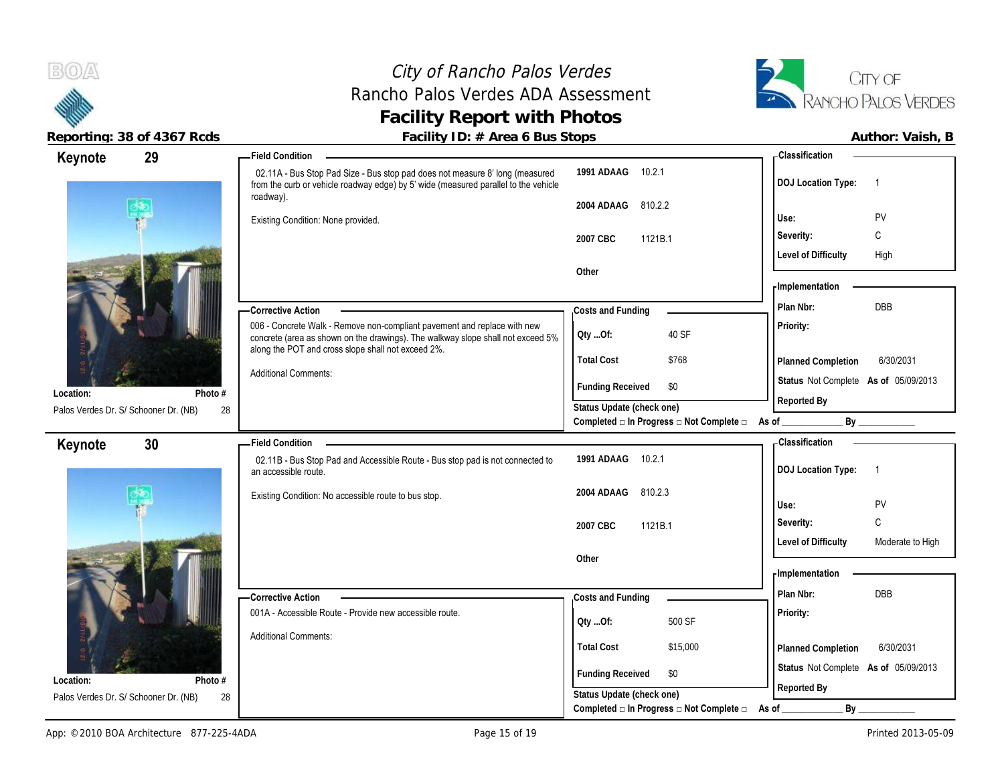

**Keynote**

### City of Rancho Palos Verdes Rancho Palos Verdes ADA Assessment **Facility Report with Photos**



Reporting: 38 of 4367 Rcds **Facility ID: # Area 6 Bus Stops Facility ID: # Area 6 Bus Stops Author: Vaish, B** 

 02.11A - Bus Stop Pad Size - Bus stop pad does not measure 8' long (measured from the curb or vehicle roadway edge) by 5' wide (measured parallel to the vehicle

roadway).

**29 Field Condition**

### **1991 ADAAG** 10.2.1 **2004 ADAAG** 810.2.2 **Use:** PV **DOJ Location Type:** 1 **Classification**

|                                             | Existing Condition: None provided.                                                                                                                          |                           |                                          | Use:                                 | <b>PV</b>   |
|---------------------------------------------|-------------------------------------------------------------------------------------------------------------------------------------------------------------|---------------------------|------------------------------------------|--------------------------------------|-------------|
|                                             |                                                                                                                                                             | 2007 CBC<br>1121B.1       |                                          | Severity:                            | $\sim$<br>◡ |
|                                             |                                                                                                                                                             |                           |                                          | <b>Level of Difficulty</b>           | High        |
|                                             |                                                                                                                                                             | Other                     |                                          | -Implementation                      |             |
|                                             | -Corrective Action                                                                                                                                          | Costs and Funding         |                                          | Plan Nbr:                            | <b>DBB</b>  |
|                                             | 006 - Concrete Walk - Remove non-compliant pavement and replace with new<br>concrete (area as shown on the drawings). The walkway slope shall not exceed 5% | QtyOf:                    | 40 SF                                    | <b>Priority:</b>                     |             |
|                                             | along the POT and cross slope shall not exceed 2%.                                                                                                          | <b>Total Cost</b>         | \$768                                    | Planned Completion                   | 6/30/2031   |
| Photo #<br>Location:                        | <b>Additional Comments:</b>                                                                                                                                 | <b>Funding Received</b>   | \$0                                      | Status Not Complete As of 05/09/2013 |             |
| 28<br>Palos Verdes Dr. S/ Schooner Dr. (NB) |                                                                                                                                                             | Status Update (check one) |                                          | Reported By                          |             |
|                                             |                                                                                                                                                             |                           | Completed □ In Progress □ Not Complete □ | As of<br>Bν                          |             |

### **Keynote**



| Photo #<br>28<br>ooner Dr. (NB) | <b>Additional Comments:</b>                                                                           | <b>Total Cost</b><br><b>Funding Received</b><br>Status Update (check one) | \$768<br>\$0                                                     | Planned Completion<br>Status Not Complete As of 05/09/2013<br>Reported By | 6/30/2031        |
|---------------------------------|-------------------------------------------------------------------------------------------------------|---------------------------------------------------------------------------|------------------------------------------------------------------|---------------------------------------------------------------------------|------------------|
|                                 |                                                                                                       |                                                                           | Completed $\Box$ In Progress $\Box$ Not Complete $\Box$          | By<br>As of                                                               |                  |
| 30                              | <b>Field Condition</b>                                                                                |                                                                           |                                                                  | - Classification                                                          |                  |
|                                 | 02.11B - Bus Stop Pad and Accessible Route - Bus stop pad is not connected to<br>an accessible route. | 1991 ADAAG<br>10.2.1                                                      |                                                                  | <b>DOJ Location Type:</b>                                                 |                  |
|                                 | Existing Condition: No accessible route to bus stop.                                                  | 2004 ADAAG                                                                | 810.2.3                                                          | Use:                                                                      | PV               |
|                                 |                                                                                                       | 2007 CBC                                                                  | 1121B.1                                                          | Severity:                                                                 | C                |
|                                 |                                                                                                       | Other                                                                     |                                                                  | <b>Level of Difficulty</b>                                                | Moderate to High |
|                                 |                                                                                                       |                                                                           |                                                                  | <b>Implementation</b>                                                     |                  |
|                                 | - Corrective Action                                                                                   | Costs and Funding                                                         |                                                                  | Plan Nbr:                                                                 | <b>DBB</b>       |
|                                 | 001A - Accessible Route - Provide new accessible route.                                               | QtyOf:                                                                    | 500 SF                                                           | Priority:                                                                 |                  |
|                                 | <b>Additional Comments:</b>                                                                           | <b>Total Cost</b>                                                         | \$15,000                                                         | Planned Completion                                                        | 6/30/2031        |
| Photo #                         |                                                                                                       | <b>Funding Received</b>                                                   | \$0                                                              | Status Not Complete As of 05/09/2013                                      |                  |
| 28<br>ooner Dr. (NB)            |                                                                                                       | Status Update (check one)                                                 | Completed $\square$ In Progress $\square$ Not Complete $\square$ | Reported By<br>As of $\_\_\_\_\_\_\_\_\_\_\_\_\_\_\_\_\_\_\_\_\_$         | By               |

Palos Verdes Dr. S/ Schooner Dr. (NB)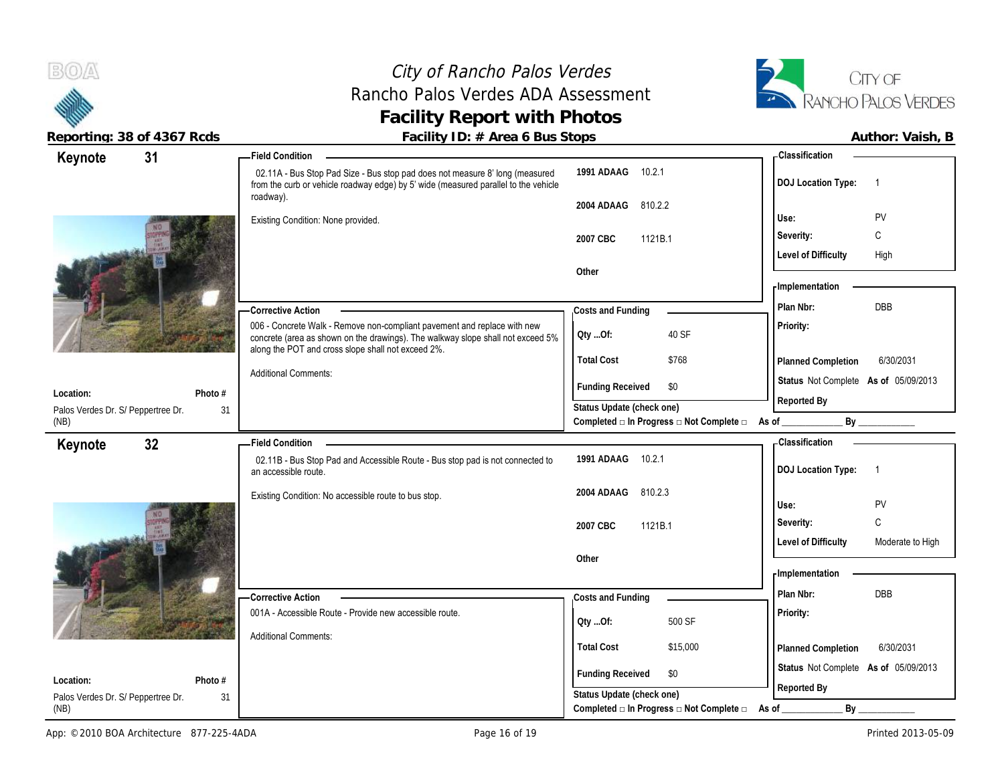(NB)

### City of Rancho Palos Verdes Rancho Palos Verdes ADA Assessment **Facility Report with Photos**



**Reporting: 38 of 4367 Rcds Facility ID: # Area 6 Bus Stops Author: Vaish, B**

| Keynote                                         | 31            | - Field Condition                                                                                                                                                                                                 |                                                          | <b>Classification</b>                          |
|-------------------------------------------------|---------------|-------------------------------------------------------------------------------------------------------------------------------------------------------------------------------------------------------------------|----------------------------------------------------------|------------------------------------------------|
|                                                 |               | 02.11A - Bus Stop Pad Size - Bus stop pad does not measure 8' long (measured<br>from the curb or vehicle roadway edge) by 5' wide (measured parallel to the vehicle                                               | 1991 ADAAG<br>10.2.1                                     | <b>DOJ Location Type:</b><br>-1                |
|                                                 |               | roadway).                                                                                                                                                                                                         | 810.2.2<br>2004 ADAAG                                    |                                                |
|                                                 |               | Existing Condition: None provided.                                                                                                                                                                                |                                                          | PV<br>Use:                                     |
|                                                 |               |                                                                                                                                                                                                                   | 1121B.1<br>2007 CBC                                      | C<br>Severity:                                 |
|                                                 |               |                                                                                                                                                                                                                   |                                                          | <b>Level of Difficulty</b><br>High             |
|                                                 |               |                                                                                                                                                                                                                   | Other                                                    |                                                |
|                                                 |               |                                                                                                                                                                                                                   |                                                          | - Implementation                               |
|                                                 |               | - Corrective Action                                                                                                                                                                                               | Costs and Funding                                        | <b>DBB</b><br>Plan Nbr:                        |
|                                                 |               | 006 - Concrete Walk - Remove non-compliant pavement and replace with new<br>concrete (area as shown on the drawings). The walkway slope shall not exceed 5%<br>along the POT and cross slope shall not exceed 2%. | 40 SF<br>QtyOf:                                          | Priority:                                      |
|                                                 |               |                                                                                                                                                                                                                   | <b>Total Cost</b><br>\$768                               | 6/30/2031<br>Planned Completion                |
|                                                 |               | <b>Additional Comments:</b>                                                                                                                                                                                       | <b>Funding Received</b><br>\$0                           | Status Not Complete As of 05/09/2013           |
| Location:<br>Palos Verdes Dr. S/ Peppertree Dr. | Photo #<br>31 |                                                                                                                                                                                                                   | Status Update (check one)                                | Reported By                                    |
| (NB)                                            |               |                                                                                                                                                                                                                   | Completed □ In Progress □ Not Complete □ As of _________ | By                                             |
| Keynote                                         | 32            | <b>Field Condition</b>                                                                                                                                                                                            |                                                          | <b>Classification</b>                          |
|                                                 |               | 02.11B - Bus Stop Pad and Accessible Route - Bus stop pad is not connected to<br>an accessible route.                                                                                                             | 1991 ADAAG<br>10.2.1                                     | <b>DOJ Location Type:</b><br>$\overline{1}$    |
|                                                 |               | Existing Condition: No accessible route to bus stop.                                                                                                                                                              | 810.2.3<br>2004 ADAAG                                    |                                                |
|                                                 |               |                                                                                                                                                                                                                   |                                                          | PV<br>Use:                                     |
|                                                 |               |                                                                                                                                                                                                                   | 2007 CBC<br>1121B.1                                      | C<br>Severity:                                 |
|                                                 |               |                                                                                                                                                                                                                   |                                                          | <b>Level of Difficulty</b><br>Moderate to High |
|                                                 |               |                                                                                                                                                                                                                   | Other                                                    | <b>Implementation</b>                          |
|                                                 |               |                                                                                                                                                                                                                   |                                                          | Plan Nbr:<br>DBB                               |
|                                                 |               | - Corrective Action                                                                                                                                                                                               | Costs and Funding                                        |                                                |
|                                                 |               | 001A - Accessible Route - Provide new accessible route.                                                                                                                                                           | 500 SF<br>Qty Of:                                        | Priority:                                      |
|                                                 |               | <b>Additional Comments:</b>                                                                                                                                                                                       | <b>Total Cost</b><br>\$15,000                            | <b>Planned Completion</b><br>6/30/2031         |
|                                                 |               |                                                                                                                                                                                                                   |                                                          |                                                |
| Location:                                       | Photo #       |                                                                                                                                                                                                                   | <b>Funding Received</b><br>\$0                           | Status Not Complete As of 05/09/2013           |
|                                                 |               |                                                                                                                                                                                                                   | المعرم باحمطوا والمطاعيا المربادية                       | Reported By                                    |

Palos Verdes Dr. S/ Peppertree Dr.

31

**Status Update (check one)**

**Completed □ In Progress □ Not Complete □ As of \_\_\_\_\_\_\_\_\_\_\_\_\_ By \_\_\_\_\_\_\_\_\_\_\_\_**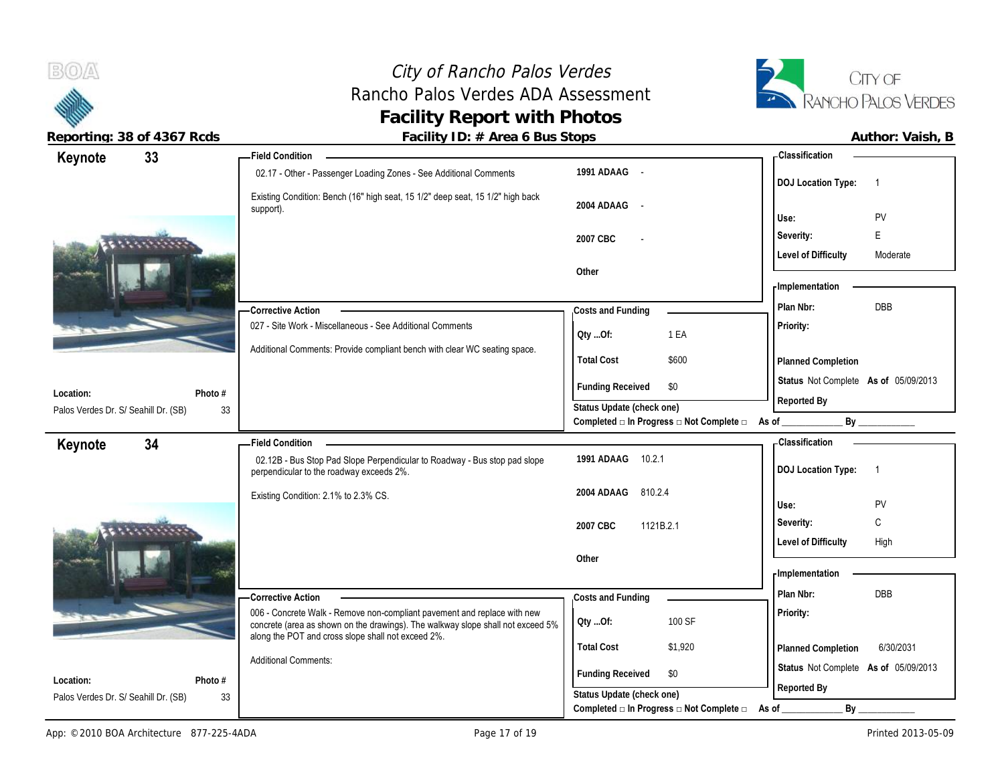

 $B(0)$ 

**Reporting: 38 of 4367 Rcds Facility ID: # Area 6 Bus Stops** 

|                            | Author: Vaish, B |  |
|----------------------------|------------------|--|
| Classification             |                  |  |
|                            |                  |  |
| <b>DO LL saatlan Tunai</b> |                  |  |

| 33<br>Keynote                        |         | - Field Condition                                                                                                                                           |                                                                  | - Classification                     |                |
|--------------------------------------|---------|-------------------------------------------------------------------------------------------------------------------------------------------------------------|------------------------------------------------------------------|--------------------------------------|----------------|
|                                      |         | 02.17 - Other - Passenger Loading Zones - See Additional Comments                                                                                           | 1991 ADAAG -                                                     | <b>DOJ Location Type:</b>            | $\overline{1}$ |
|                                      |         | Existing Condition: Bench (16" high seat, 15 1/2" deep seat, 15 1/2" high back<br>support).                                                                 | 2004 ADAAG -                                                     | Use:                                 | PV             |
|                                      |         |                                                                                                                                                             | 2007 CBC                                                         | Severity:                            | E              |
|                                      |         |                                                                                                                                                             |                                                                  | <b>Level of Difficulty</b>           | Moderate       |
|                                      |         |                                                                                                                                                             | Other                                                            |                                      |                |
|                                      |         |                                                                                                                                                             |                                                                  | - Implementation                     |                |
|                                      |         | - Corrective Action                                                                                                                                         | Costs and Funding                                                | Plan Nbr:                            | <b>DBB</b>     |
|                                      |         | 027 - Site Work - Miscellaneous - See Additional Comments                                                                                                   | QtyOf:<br>1 EA                                                   | Priority:                            |                |
|                                      |         | Additional Comments: Provide compliant bench with clear WC seating space.                                                                                   |                                                                  |                                      |                |
|                                      |         |                                                                                                                                                             | <b>Total Cost</b><br>\$600                                       | Planned Completion                   |                |
| Location:                            | Photo # |                                                                                                                                                             | <b>Funding Received</b><br>\$0                                   | Status Not Complete As of 05/09/2013 |                |
| Palos Verdes Dr. S/ Seahill Dr. (SB) | 33      |                                                                                                                                                             | Status Update (check one)                                        | Reported By                          |                |
|                                      |         |                                                                                                                                                             | Completed □ In Progress □ Not Complete □                         | As of                                | By             |
| 34<br>Keynote                        |         | - Field Condition                                                                                                                                           |                                                                  | <b>Classification</b>                |                |
|                                      |         | 02.12B - Bus Stop Pad Slope Perpendicular to Roadway - Bus stop pad slope<br>perpendicular to the roadway exceeds 2%.                                       | 10.2.1<br>1991 ADAAG                                             | <b>DOJ Location Type:</b>            | $\overline{1}$ |
|                                      |         | Existing Condition: 2.1% to 2.3% CS.                                                                                                                        | 2004 ADAAG 810.2.4                                               | Use:                                 | PV             |
|                                      |         |                                                                                                                                                             | 2007 CBC<br>1121B.2.1                                            | Severity:                            | C              |
|                                      |         |                                                                                                                                                             |                                                                  | <b>Level of Difficulty</b>           | High           |
|                                      |         |                                                                                                                                                             | Other                                                            |                                      |                |
|                                      |         |                                                                                                                                                             |                                                                  | - Implementation                     |                |
|                                      |         | -Corrective Action                                                                                                                                          | Costs and Funding                                                | Plan Nbr:                            | <b>DBB</b>     |
|                                      |         | 006 - Concrete Walk - Remove non-compliant pavement and replace with new<br>concrete (area as shown on the drawings). The walkway slope shall not exceed 5% | 100 SF<br>Qty Of:                                                | Priority:                            |                |
|                                      |         | along the POT and cross slope shall not exceed 2%.                                                                                                          | <b>Total Cost</b><br>\$1,920                                     | <b>Planned Completion</b>            | 6/30/2031      |
| Location:                            | Photo # | <b>Additional Comments:</b>                                                                                                                                 | <b>Funding Received</b><br>\$0                                   | Status Not Complete As of 05/09/2013 |                |
| Palos Verdes Dr. S/ Seahill Dr. (SB) | 33      |                                                                                                                                                             | Status Update (check one)                                        | Reported By                          |                |
|                                      |         |                                                                                                                                                             | Completed $\square$ In Progress $\square$ Not Complete $\square$ | As of<br>By                          |                |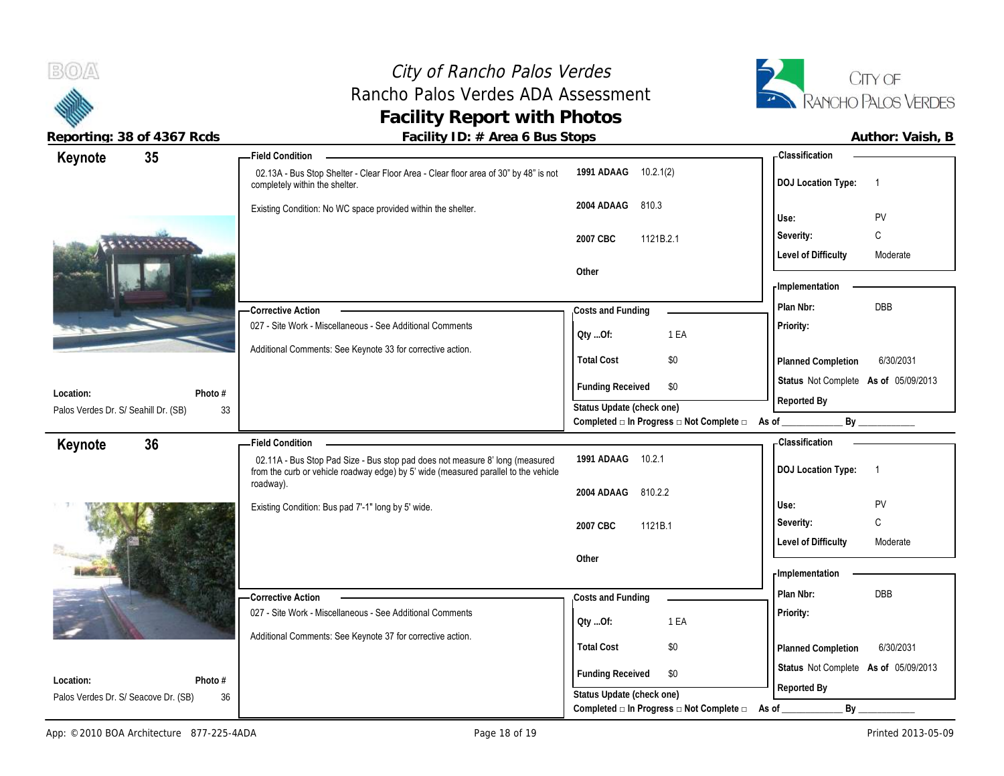### City of Rancho Palos Verdes Rancho Palos Verdes ADA Assessment **Facility Report with Photos**



| Keynote                              | 35      | -Field Condition                                                                                                                                                    |                                                                                               | - Classification                            |
|--------------------------------------|---------|---------------------------------------------------------------------------------------------------------------------------------------------------------------------|-----------------------------------------------------------------------------------------------|---------------------------------------------|
|                                      |         | 02.13A - Bus Stop Shelter - Clear Floor Area - Clear floor area of 30" by 48" is not<br>completely within the shelter.                                              | 1991 ADAAG 10.2.1(2)                                                                          | <b>DOJ Location Type:</b><br>$\overline{1}$ |
|                                      |         | Existing Condition: No WC space provided within the shelter.                                                                                                        | 2004 ADAAG<br>810.3                                                                           | Use:<br><b>PV</b>                           |
|                                      |         |                                                                                                                                                                     | 2007 CBC<br>1121B.2.1                                                                         | C<br>Severity:                              |
|                                      |         |                                                                                                                                                                     |                                                                                               | <b>Level of Difficulty</b><br>Moderate      |
|                                      |         |                                                                                                                                                                     | Other                                                                                         |                                             |
|                                      |         |                                                                                                                                                                     |                                                                                               | - Implementation                            |
|                                      |         | -Corrective Action                                                                                                                                                  | Costs and Funding                                                                             | DBB<br>Plan Nbr:                            |
|                                      |         | 027 - Site Work - Miscellaneous - See Additional Comments                                                                                                           | 1 EA<br>QtyOf:                                                                                | Priority:                                   |
|                                      |         | Additional Comments: See Keynote 33 for corrective action.                                                                                                          | <b>Total Cost</b><br>\$0                                                                      | 6/30/2031<br>Planned Completion             |
|                                      |         |                                                                                                                                                                     |                                                                                               |                                             |
| Location:                            | Photo # |                                                                                                                                                                     | <b>Funding Received</b><br>\$0                                                                | Status Not Complete As of 05/09/2013        |
| Palos Verdes Dr. S/ Seahill Dr. (SB) | 33      |                                                                                                                                                                     | Status Update (check one)                                                                     | Reported By                                 |
|                                      |         |                                                                                                                                                                     | Completed □ In Progress □ Not Complete □ As of                                                | By                                          |
| Keynote                              | 36      | <b>Field Condition</b>                                                                                                                                              |                                                                                               | <b>Classification</b>                       |
|                                      |         | 02.11A - Bus Stop Pad Size - Bus stop pad does not measure 8' long (measured<br>from the curb or vehicle roadway edge) by 5' wide (measured parallel to the vehicle | 1991 ADAAG<br>10.2.1                                                                          | <b>DOJ Location Type:</b><br>$\overline{1}$ |
|                                      |         |                                                                                                                                                                     |                                                                                               |                                             |
|                                      |         | roadway).                                                                                                                                                           | 810.2.2<br>2004 ADAAG                                                                         |                                             |
|                                      |         | Existing Condition: Bus pad 7'-1" long by 5' wide.                                                                                                                  |                                                                                               | Use:<br>PV                                  |
|                                      |         |                                                                                                                                                                     | 2007 CBC<br>1121B.1                                                                           | C<br>Severity:                              |
|                                      |         |                                                                                                                                                                     |                                                                                               | <b>Level of Difficulty</b><br>Moderate      |
|                                      |         |                                                                                                                                                                     | Other                                                                                         |                                             |
|                                      |         |                                                                                                                                                                     |                                                                                               | - Implementation                            |
|                                      |         | -Corrective Action                                                                                                                                                  | Costs and Funding                                                                             | Plan Nbr:<br>DBB                            |
|                                      |         | 027 - Site Work - Miscellaneous - See Additional Comments                                                                                                           | 1 EA<br>QtyOf:                                                                                | Priority:                                   |
|                                      |         | Additional Comments: See Keynote 37 for corrective action.                                                                                                          |                                                                                               |                                             |
|                                      |         |                                                                                                                                                                     | <b>Total Cost</b><br>\$0                                                                      | 6/30/2031<br>Planned Completion             |
| Location:                            | Photo # |                                                                                                                                                                     | <b>Funding Received</b><br>\$0                                                                | Status Not Complete As of 05/09/2013        |
| Palos Verdes Dr. S/ Seacove Dr. (SB) | 36      |                                                                                                                                                                     | Status Update (check one)<br>Completed $\square$ In Progress $\square$ Not Complete $\square$ | Reported By<br>By                           |